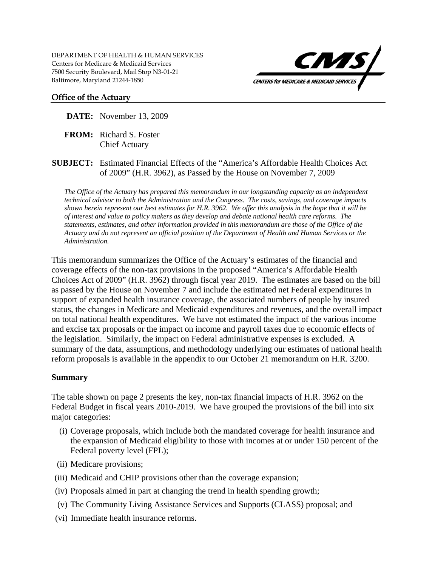

### **Office of the Actuary**

**DATE:** November 13, 2009

- **FROM:** Richard S. Foster Chief Actuary
- **SUBJECT:** Estimated Financial Effects of the "America's Affordable Health Choices Act of 2009" (H.R. 3962), as Passed by the House on November 7, 2009

*The Office of the Actuary has prepared this memorandum in our longstanding capacity as an independent technical advisor to both the Administration and the Congress. The costs, savings, and coverage impacts shown herein represent our best estimates for H.R. 3962. We offer this analysis in the hope that it will be of interest and value to policy makers as they develop and debate national health care reforms. The statements, estimates, and other information provided in this memorandum are those of the Office of the Actuary and do not represent an official position of the Department of Health and Human Services or the Administration.* 

This memorandum summarizes the Office of the Actuary's estimates of the financial and coverage effects of the non-tax provisions in the proposed "America's Affordable Health Choices Act of 2009" (H.R. 3962) through fiscal year 2019. The estimates are based on the bill as passed by the House on November 7 and include the estimated net Federal expenditures in support of expanded health insurance coverage, the associated numbers of people by insured status, the changes in Medicare and Medicaid expenditures and revenues, and the overall impact on total national health expenditures. We have not estimated the impact of the various income and excise tax proposals or the impact on income and payroll taxes due to economic effects of the legislation. Similarly, the impact on Federal administrative expenses is excluded. A summary of the data, assumptions, and methodology underlying our estimates of national health reform proposals is available in the appendix to our October 21 memorandum on H.R. 3200.

## **Summary**

The table shown on page 2 presents the key, non-tax financial impacts of H.R. 3962 on the Federal Budget in fiscal years 2010-2019. We have grouped the provisions of the bill into six major categories:

- (i) Coverage proposals, which include both the mandated coverage for health insurance and the expansion of Medicaid eligibility to those with incomes at or under 150 percent of the Federal poverty level (FPL);
- (ii) Medicare provisions;
- (iii) Medicaid and CHIP provisions other than the coverage expansion;
- (iv) Proposals aimed in part at changing the trend in health spending growth;
- (v) The Community Living Assistance Services and Supports (CLASS) proposal; and
- (vi) Immediate health insurance reforms.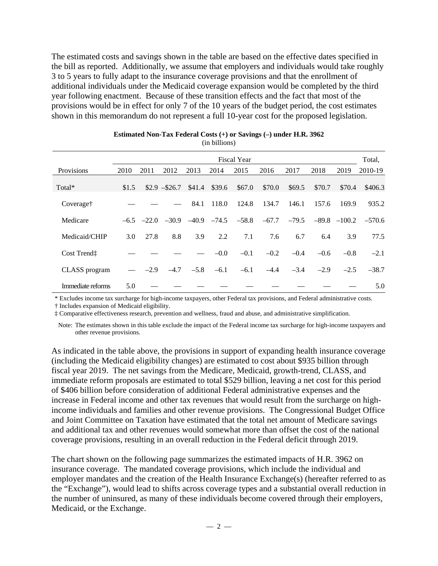The estimated costs and savings shown in the table are based on the effective dates specified in the bill as reported. Additionally, we assume that employers and individuals would take roughly 3 to 5 years to fully adapt to the insurance coverage provisions and that the enrollment of additional individuals under the Medicaid coverage expansion would be completed by the third year following enactment. Because of these transition effects and the fact that most of the provisions would be in effect for only 7 of the 10 years of the budget period, the cost estimates shown in this memorandum do not represent a full 10-year cost for the proposed legislation.

|                       |       |        |                        |         |         | <b>Fiscal Year</b> |         |         |        |                  | Total,   |
|-----------------------|-------|--------|------------------------|---------|---------|--------------------|---------|---------|--------|------------------|----------|
| Provisions            | 2010  | 2011   | 2012                   | 2013    | 2014    | 2015               | 2016    | 2017    | 2018   | 2019             | 2010-19  |
| Total*                | \$1.5 |        | $$2.9 - $26.7$         | \$41.4  | \$39.6  | \$67.0             | \$70.0  | \$69.5  | \$70.7 | \$70.4           | \$406.3  |
| Coverage <sup>†</sup> |       |        |                        | 84.1    | 118.0   | 124.8              | 134.7   | 146.1   | 157.6  | 169.9            | 935.2    |
| Medicare              |       |        | $-6.5$ $-22.0$ $-30.9$ | $-40.9$ | $-74.5$ | $-58.8$            | $-67.7$ | $-79.5$ |        | $-89.8$ $-100.2$ | $-570.6$ |
| Medicaid/CHIP         | 3.0   | 27.8   | 8.8                    | 3.9     | 2.2     | 7.1                | 7.6     | 6.7     | 6.4    | 3.9              | 77.5     |
| Cost Trendt           |       |        |                        |         | $-0.0$  | $-0.1$             | $-0.2$  | $-0.4$  | $-0.6$ | $-0.8$           | $-2.1$   |
| CLASS program         |       | $-2.9$ | $-4.7$                 | $-5.8$  | $-6.1$  | $-6.1$             | $-4.4$  | $-3.4$  | $-2.9$ | $-2.5$           | $-38.7$  |
| Immediate reforms     | 5.0   |        |                        |         |         |                    |         |         |        |                  | 5.0      |

| Estimated Non-Tax Federal Costs $(+)$ or Savings $(-)$ under H.R. 3962 |  |
|------------------------------------------------------------------------|--|
| (in billions)                                                          |  |

\* Excludes income tax surcharge for high-income taxpayers, other Federal tax provisions, and Federal administrative costs.

† Includes expansion of Medicaid eligibility.

‡ Comparative effectiveness research, prevention and wellness, fraud and abuse, and administrative simplification.

Note: The estimates shown in this table exclude the impact of the Federal income tax surcharge for high-income taxpayers and other revenue provisions.

As indicated in the table above, the provisions in support of expanding health insurance coverage (including the Medicaid eligibility changes) are estimated to cost about \$935 billion through fiscal year 2019. The net savings from the Medicare, Medicaid, growth-trend, CLASS, and immediate reform proposals are estimated to total \$529 billion, leaving a net cost for this period of \$406 billion before consideration of additional Federal administrative expenses and the increase in Federal income and other tax revenues that would result from the surcharge on highincome individuals and families and other revenue provisions. The Congressional Budget Office and Joint Committee on Taxation have estimated that the total net amount of Medicare savings and additional tax and other revenues would somewhat more than offset the cost of the national coverage provisions, resulting in an overall reduction in the Federal deficit through 2019.

The chart shown on the following page summarizes the estimated impacts of H.R. 3962 on insurance coverage. The mandated coverage provisions, which include the individual and employer mandates and the creation of the Health Insurance Exchange(s) (hereafter referred to as the "Exchange"), would lead to shifts across coverage types and a substantial overall reduction in the number of uninsured, as many of these individuals become covered through their employers, Medicaid, or the Exchange.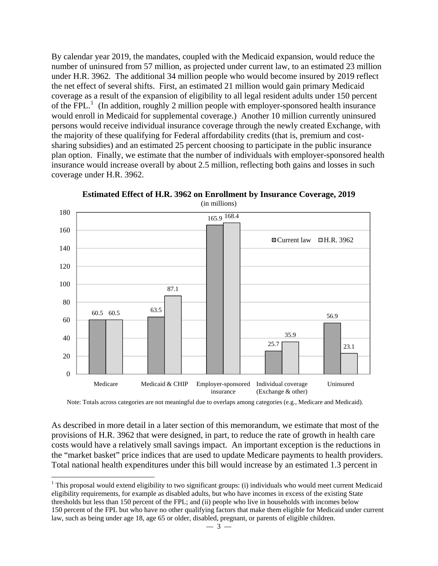By calendar year 2019, the mandates, coupled with the Medicaid expansion, would reduce the number of uninsured from 57 million, as projected under current law, to an estimated 23 million under H.R. 3962. The additional 34 million people who would become insured by 2019 reflect the net effect of several shifts. First, an estimated 21 million would gain primary Medicaid coverage as a result of the expansion of eligibility to all legal resident adults under 150 percent of the  $\overline{FPL}$ <sup>[1](#page-2-0)</sup> (In addition, roughly 2 million people with employer-sponsored health insurance would enroll in Medicaid for supplemental coverage.) Another 10 million currently uninsured persons would receive individual insurance coverage through the newly created Exchange, with the majority of these qualifying for Federal affordability credits (that is, premium and costsharing subsidies) and an estimated 25 percent choosing to participate in the public insurance plan option. Finally, we estimate that the number of individuals with employer-sponsored health insurance would increase overall by about 2.5 million, reflecting both gains and losses in such coverage under H.R. 3962.



**Estimated Effect of H.R. 3962 on Enrollment by Insurance Coverage, 2019**  (in millions)

Note: Totals across categories are not meaningful due to overlaps among categories (e.g., Medicare and Medicaid).

As described in more detail in a later section of this memorandum, we estimate that most of the provisions of H.R. 3962 that were designed, in part, to reduce the rate of growth in health care costs would have a relatively small savings impact. An important exception is the reductions in the "market basket" price indices that are used to update Medicare payments to health providers. Total national health expenditures under this bill would increase by an estimated 1.3 percent in

 $\overline{a}$ 

<span id="page-2-0"></span><sup>&</sup>lt;sup>1</sup> This proposal would extend eligibility to two significant groups: (i) individuals who would meet current Medicaid eligibility requirements, for example as disabled adults, but who have incomes in excess of the existing State thresholds but less than 150 percent of the FPL; and (ii) people who live in households with incomes below 150 percent of the FPL but who have no other qualifying factors that make them eligible for Medicaid under current law, such as being under age 18, age 65 or older, disabled, pregnant, or parents of eligible children.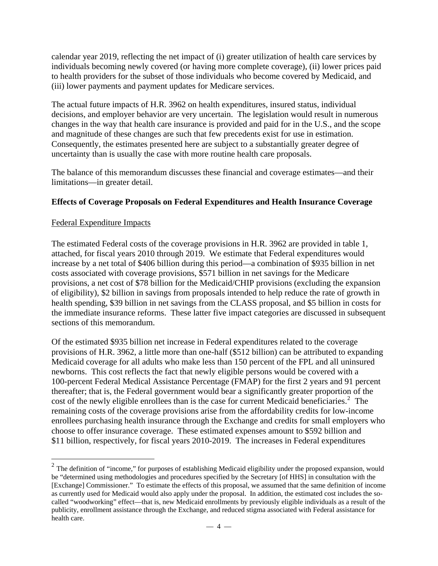calendar year 2019, reflecting the net impact of (i) greater utilization of health care services by individuals becoming newly covered (or having more complete coverage), (ii) lower prices paid to health providers for the subset of those individuals who become covered by Medicaid, and (iii) lower payments and payment updates for Medicare services.

The actual future impacts of H.R. 3962 on health expenditures, insured status, individual decisions, and employer behavior are very uncertain. The legislation would result in numerous changes in the way that health care insurance is provided and paid for in the U.S., and the scope and magnitude of these changes are such that few precedents exist for use in estimation. Consequently, the estimates presented here are subject to a substantially greater degree of uncertainty than is usually the case with more routine health care proposals.

The balance of this memorandum discusses these financial and coverage estimates—and their limitations—in greater detail.

## **Effects of Coverage Proposals on Federal Expenditures and Health Insurance Coverage**

### Federal Expenditure Impacts

 $\overline{a}$ 

The estimated Federal costs of the coverage provisions in H.R. 3962 are provided in table 1, attached, for fiscal years 2010 through 2019. We estimate that Federal expenditures would increase by a net total of \$406 billion during this period—a combination of \$935 billion in net costs associated with coverage provisions, \$571 billion in net savings for the Medicare provisions, a net cost of \$78 billion for the Medicaid/CHIP provisions (excluding the expansion of eligibility), \$2 billion in savings from proposals intended to help reduce the rate of growth in health spending, \$39 billion in net savings from the CLASS proposal, and \$5 billion in costs for the immediate insurance reforms. These latter five impact categories are discussed in subsequent sections of this memorandum.

Of the estimated \$935 billion net increase in Federal expenditures related to the coverage provisions of H.R. 3962, a little more than one-half (\$512 billion) can be attributed to expanding Medicaid coverage for all adults who make less than 150 percent of the FPL and all uninsured newborns. This cost reflects the fact that newly eligible persons would be covered with a 100-percent Federal Medical Assistance Percentage (FMAP) for the first 2 years and 91 percent thereafter; that is, the Federal government would bear a significantly greater proportion of the cost of the newly eligible enrollees than is the case for current Medicaid beneficiaries.<sup>[2](#page-3-0)</sup> The remaining costs of the coverage provisions arise from the affordability credits for low-income enrollees purchasing health insurance through the Exchange and credits for small employers who choose to offer insurance coverage. These estimated expenses amount to \$592 billion and \$11 billion, respectively, for fiscal years 2010-2019. The increases in Federal expenditures

<span id="page-3-0"></span> $2$  The definition of "income," for purposes of establishing Medicaid eligibility under the proposed expansion, would be "determined using methodologies and procedures specified by the Secretary [of HHS] in consultation with the [Exchange] Commissioner." To estimate the effects of this proposal, we assumed that the same definition of income as currently used for Medicaid would also apply under the proposal. In addition, the estimated cost includes the socalled "woodworking" effect—that is, new Medicaid enrollments by previously eligible individuals as a result of the publicity, enrollment assistance through the Exchange, and reduced stigma associated with Federal assistance for health care.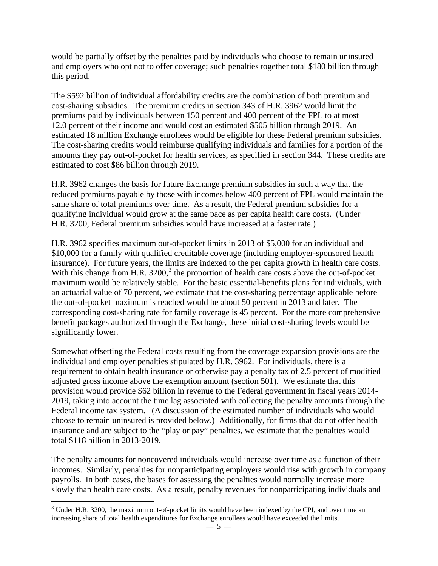would be partially offset by the penalties paid by individuals who choose to remain uninsured and employers who opt not to offer coverage; such penalties together total \$180 billion through this period.

The \$592 billion of individual affordability credits are the combination of both premium and cost-sharing subsidies. The premium credits in section 343 of H.R. 3962 would limit the premiums paid by individuals between 150 percent and 400 percent of the FPL to at most 12.0 percent of their income and would cost an estimated \$505 billion through 2019. An estimated 18 million Exchange enrollees would be eligible for these Federal premium subsidies. The cost-sharing credits would reimburse qualifying individuals and families for a portion of the amounts they pay out-of-pocket for health services, as specified in section 344. These credits are estimated to cost \$86 billion through 2019.

H.R. 3962 changes the basis for future Exchange premium subsidies in such a way that the reduced premiums payable by those with incomes below 400 percent of FPL would maintain the same share of total premiums over time. As a result, the Federal premium subsidies for a qualifying individual would grow at the same pace as per capita health care costs. (Under H.R. 3200, Federal premium subsidies would have increased at a faster rate.)

H.R. 3962 specifies maximum out-of-pocket limits in 2013 of \$5,000 for an individual and \$10,000 for a family with qualified creditable coverage (including employer-sponsored health insurance). For future years, the limits are indexed to the per capita growth in health care costs. With this change from H.R.  $3200<sup>3</sup>$  $3200<sup>3</sup>$ , the proportion of health care costs above the out-of-pocket maximum would be relatively stable. For the basic essential-benefits plans for individuals, with an actuarial value of 70 percent, we estimate that the cost-sharing percentage applicable before the out-of-pocket maximum is reached would be about 50 percent in 2013 and later. The corresponding cost-sharing rate for family coverage is 45 percent. For the more comprehensive benefit packages authorized through the Exchange, these initial cost-sharing levels would be significantly lower.

Somewhat offsetting the Federal costs resulting from the coverage expansion provisions are the individual and employer penalties stipulated by H.R. 3962. For individuals, there is a requirement to obtain health insurance or otherwise pay a penalty tax of 2.5 percent of modified adjusted gross income above the exemption amount (section 501). We estimate that this provision would provide \$62 billion in revenue to the Federal government in fiscal years 2014- 2019, taking into account the time lag associated with collecting the penalty amounts through the Federal income tax system. (A discussion of the estimated number of individuals who would choose to remain uninsured is provided below.) Additionally, for firms that do not offer health insurance and are subject to the "play or pay" penalties, we estimate that the penalties would total \$118 billion in 2013-2019.

The penalty amounts for noncovered individuals would increase over time as a function of their incomes. Similarly, penalties for nonparticipating employers would rise with growth in company payrolls. In both cases, the bases for assessing the penalties would normally increase more slowly than health care costs. As a result, penalty revenues for nonparticipating individuals and

 $\overline{a}$ 

<span id="page-4-0"></span> $3$  Under H.R. 3200, the maximum out-of-pocket limits would have been indexed by the CPI, and over time an increasing share of total health expenditures for Exchange enrollees would have exceeded the limits.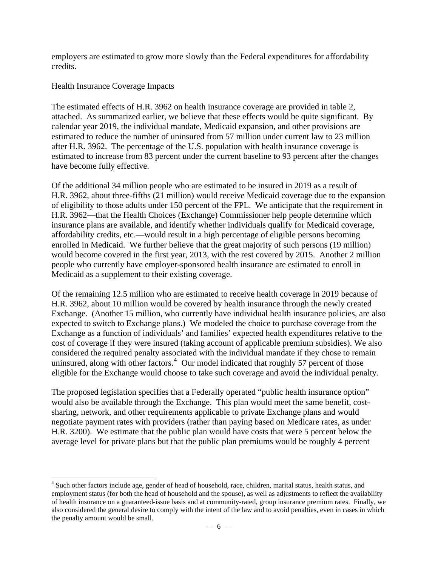employers are estimated to grow more slowly than the Federal expenditures for affordability credits.

## Health Insurance Coverage Impacts

 $\overline{a}$ 

The estimated effects of H.R. 3962 on health insurance coverage are provided in table 2, attached. As summarized earlier, we believe that these effects would be quite significant. By calendar year 2019, the individual mandate, Medicaid expansion, and other provisions are estimated to reduce the number of uninsured from 57 million under current law to 23 million after H.R. 3962. The percentage of the U.S. population with health insurance coverage is estimated to increase from 83 percent under the current baseline to 93 percent after the changes have become fully effective.

Of the additional 34 million people who are estimated to be insured in 2019 as a result of H.R. 3962, about three-fifths (21 million) would receive Medicaid coverage due to the expansion of eligibility to those adults under 150 percent of the FPL. We anticipate that the requirement in H.R. 3962—that the Health Choices (Exchange) Commissioner help people determine which insurance plans are available, and identify whether individuals qualify for Medicaid coverage, affordability credits, etc.—would result in a high percentage of eligible persons becoming enrolled in Medicaid. We further believe that the great majority of such persons (19 million) would become covered in the first year, 2013, with the rest covered by 2015. Another 2 million people who currently have employer-sponsored health insurance are estimated to enroll in Medicaid as a supplement to their existing coverage.

Of the remaining 12.5 million who are estimated to receive health coverage in 2019 because of H.R. 3962, about 10 million would be covered by health insurance through the newly created Exchange. (Another 15 million, who currently have individual health insurance policies, are also expected to switch to Exchange plans.) We modeled the choice to purchase coverage from the Exchange as a function of individuals' and families' expected health expenditures relative to the cost of coverage if they were insured (taking account of applicable premium subsidies). We also considered the required penalty associated with the individual mandate if they chose to remain uninsured, along with other factors.<sup>[4](#page-5-0)</sup> Our model indicated that roughly 57 percent of those eligible for the Exchange would choose to take such coverage and avoid the individual penalty.

The proposed legislation specifies that a Federally operated "public health insurance option" would also be available through the Exchange. This plan would meet the same benefit, costsharing, network, and other requirements applicable to private Exchange plans and would negotiate payment rates with providers (rather than paying based on Medicare rates, as under H.R. 3200). We estimate that the public plan would have costs that were 5 percent below the average level for private plans but that the public plan premiums would be roughly 4 percent

<span id="page-5-0"></span><sup>&</sup>lt;sup>4</sup> Such other factors include age, gender of head of household, race, children, marital status, health status, and employment status (for both the head of household and the spouse), as well as adjustments to reflect the availability of health insurance on a guaranteed-issue basis and at community-rated, group insurance premium rates. Finally, we also considered the general desire to comply with the intent of the law and to avoid penalties, even in cases in which the penalty amount would be small.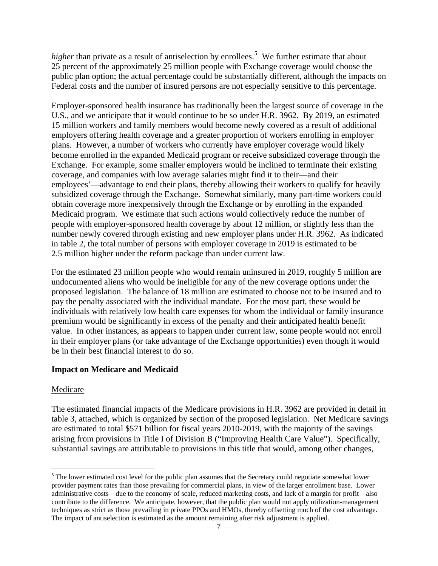higher than private as a result of antiselection by enrollees.<sup>[5](#page-6-0)</sup> We further estimate that about 25 percent of the approximately 25 million people with Exchange coverage would choose the public plan option; the actual percentage could be substantially different, although the impacts on Federal costs and the number of insured persons are not especially sensitive to this percentage.

Employer-sponsored health insurance has traditionally been the largest source of coverage in the U.S., and we anticipate that it would continue to be so under H.R. 3962. By 2019, an estimated 15 million workers and family members would become newly covered as a result of additional employers offering health coverage and a greater proportion of workers enrolling in employer plans. However, a number of workers who currently have employer coverage would likely become enrolled in the expanded Medicaid program or receive subsidized coverage through the Exchange. For example, some smaller employers would be inclined to terminate their existing coverage, and companies with low average salaries might find it to their—and their employees'—advantage to end their plans, thereby allowing their workers to qualify for heavily subsidized coverage through the Exchange. Somewhat similarly, many part-time workers could obtain coverage more inexpensively through the Exchange or by enrolling in the expanded Medicaid program. We estimate that such actions would collectively reduce the number of people with employer-sponsored health coverage by about 12 million, or slightly less than the number newly covered through existing and new employer plans under H.R. 3962. As indicated in table 2, the total number of persons with employer coverage in 2019 is estimated to be 2.5 million higher under the reform package than under current law.

For the estimated 23 million people who would remain uninsured in 2019, roughly 5 million are undocumented aliens who would be ineligible for any of the new coverage options under the proposed legislation. The balance of 18 million are estimated to choose not to be insured and to pay the penalty associated with the individual mandate. For the most part, these would be individuals with relatively low health care expenses for whom the individual or family insurance premium would be significantly in excess of the penalty and their anticipated health benefit value. In other instances, as appears to happen under current law, some people would not enroll in their employer plans (or take advantage of the Exchange opportunities) even though it would be in their best financial interest to do so.

## **Impact on Medicare and Medicaid**

## Medicare

 $\overline{a}$ 

The estimated financial impacts of the Medicare provisions in H.R. 3962 are provided in detail in table 3, attached, which is organized by section of the proposed legislation. Net Medicare savings are estimated to total \$571 billion for fiscal years 2010-2019, with the majority of the savings arising from provisions in Title I of Division B ("Improving Health Care Value"). Specifically, substantial savings are attributable to provisions in this title that would, among other changes,

<span id="page-6-0"></span><sup>&</sup>lt;sup>5</sup> The lower estimated cost level for the public plan assumes that the Secretary could negotiate somewhat lower provider payment rates than those prevailing for commercial plans, in view of the larger enrollment base. Lower administrative costs—due to the economy of scale, reduced marketing costs, and lack of a margin for profit—also contribute to the difference. We anticipate, however, that the public plan would not apply utilization-management techniques as strict as those prevailing in private PPOs and HMOs, thereby offsetting much of the cost advantage. The impact of antiselection is estimated as the amount remaining after risk adjustment is applied.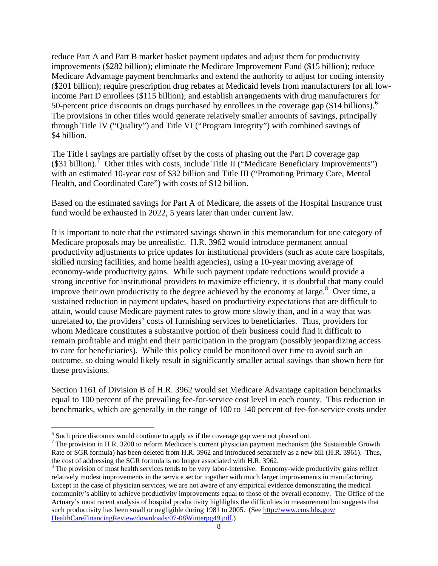reduce Part A and Part B market basket payment updates and adjust them for productivity improvements (\$282 billion); eliminate the Medicare Improvement Fund (\$15 billion); reduce Medicare Advantage payment benchmarks and extend the authority to adjust for coding intensity (\$201 billion); require prescription drug rebates at Medicaid levels from manufacturers for all lowincome Part D enrollees (\$115 billion); and establish arrangements with drug manufacturers for 50-percent price discounts on drugs purchased by enrollees in the coverage gap (\$14 billions).<sup>[6](#page-7-0)</sup> The provisions in other titles would generate relatively smaller amounts of savings, principally through Title IV ("Quality") and Title VI ("Program Integrity") with combined savings of \$4 billion.

The Title I savings are partially offset by the costs of phasing out the Part D coverage gap (\$31 billion).<sup>[7](#page-7-1)</sup> Other titles with costs, include Title II ("Medicare Beneficiary Improvements") with an estimated 10-year cost of \$32 billion and Title III ("Promoting Primary Care, Mental Health, and Coordinated Care") with costs of \$12 billion.

Based on the estimated savings for Part A of Medicare, the assets of the Hospital Insurance trust fund would be exhausted in 2022, 5 years later than under current law.

It is important to note that the estimated savings shown in this memorandum for one category of Medicare proposals may be unrealistic. H.R. 3962 would introduce permanent annual productivity adjustments to price updates for institutional providers (such as acute care hospitals, skilled nursing facilities, and home health agencies), using a 10-year moving average of economy-wide productivity gains. While such payment update reductions would provide a strong incentive for institutional providers to maximize efficiency, it is doubtful that many could improve their own productivity to the degree achieved by the economy at large. $8$  Over time, a sustained reduction in payment updates, based on productivity expectations that are difficult to attain, would cause Medicare payment rates to grow more slowly than, and in a way that was unrelated to, the providers' costs of furnishing services to beneficiaries. Thus, providers for whom Medicare constitutes a substantive portion of their business could find it difficult to remain profitable and might end their participation in the program (possibly jeopardizing access to care for beneficiaries). While this policy could be monitored over time to avoid such an outcome, so doing would likely result in significantly smaller actual savings than shown here for these provisions.

Section 1161 of Division B of H.R. 3962 would set Medicare Advantage capitation benchmarks equal to 100 percent of the prevailing fee-for-service cost level in each county. This reduction in benchmarks, which are generally in the range of 100 to 140 percent of fee-for-service costs under

 $\overline{a}$ 

<span id="page-7-0"></span> $6$  Such price discounts would continue to apply as if the coverage gap were not phased out.

<span id="page-7-1"></span> $^7$  The provision in H.R. 3200 to reform Medicare's current physician payment mechanism (the Sustainable Growth Rate or SGR formula) has been deleted from H.R. 3962 and introduced separately as a new bill (H.R. 3961). Thus, the cost of addressing the SGR formula is no longer associated with H.R. 3962. 8

<span id="page-7-2"></span><sup>&</sup>lt;sup>8</sup> The provision of most health services tends to be very labor-intensive. Economy-wide productivity gains reflect relatively modest improvements in the service sector together with much larger improvements in manufacturing. Except in the case of physician services, we are not aware of any empirical evidence demonstrating the medical community's ability to achieve productivity improvements equal to those of the overall economy. The Office of the Actuary's most recent analysis of hospital productivity highlights the difficulties in measurement but suggests that such productivity has been small or negligible during 1981 to 2005. (See [http://www.cms.hhs.gov/](http://www.cms.hhs.gov/HealthCareFinancingReview/downloads/07-08Winterpg49.pdf) [HealthCareFinancingReview/downloads/07-08Winterpg49.pdf.](http://www.cms.hhs.gov/HealthCareFinancingReview/downloads/07-08Winterpg49.pdf))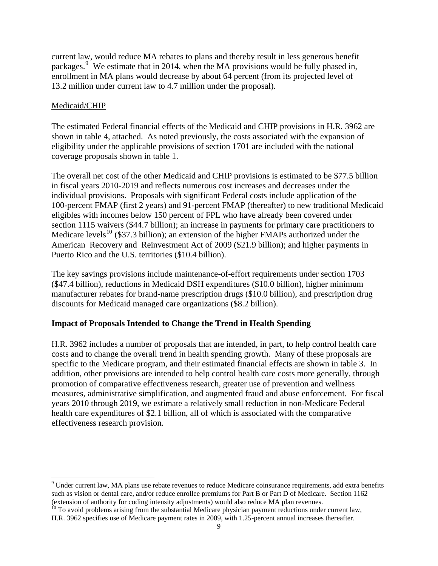current law, would reduce MA rebates to plans and thereby result in less generous benefit packages.<sup>[9](#page-8-0)</sup> We estimate that in 2014, when the MA provisions would be fully phased in, enrollment in MA plans would decrease by about 64 percent (from its projected level of 13.2 million under current law to 4.7 million under the proposal).

## Medicaid/CHIP

 $\overline{a}$ 

The estimated Federal financial effects of the Medicaid and CHIP provisions in H.R. 3962 are shown in table 4, attached. As noted previously, the costs associated with the expansion of eligibility under the applicable provisions of section 1701 are included with the national coverage proposals shown in table 1.

The overall net cost of the other Medicaid and CHIP provisions is estimated to be \$77.5 billion in fiscal years 2010-2019 and reflects numerous cost increases and decreases under the individual provisions. Proposals with significant Federal costs include application of the 100-percent FMAP (first 2 years) and 91-percent FMAP (thereafter) to new traditional Medicaid eligibles with incomes below 150 percent of FPL who have already been covered under section 1115 waivers (\$44.7 billion); an increase in payments for primary care practitioners to Medicare levels<sup>[10](#page-8-1)</sup> (\$37.3 billion); an extension of the higher FMAPs authorized under the American Recovery and Reinvestment Act of 2009 (\$21.9 billion); and higher payments in Puerto Rico and the U.S. territories (\$10.4 billion).

The key savings provisions include maintenance-of-effort requirements under section 1703 (\$47.4 billion), reductions in Medicaid DSH expenditures (\$10.0 billion), higher minimum manufacturer rebates for brand-name prescription drugs (\$10.0 billion), and prescription drug discounts for Medicaid managed care organizations (\$8.2 billion).

## **Impact of Proposals Intended to Change the Trend in Health Spending**

H.R. 3962 includes a number of proposals that are intended, in part, to help control health care costs and to change the overall trend in health spending growth. Many of these proposals are specific to the Medicare program, and their estimated financial effects are shown in table 3. In addition, other provisions are intended to help control health care costs more generally, through promotion of comparative effectiveness research, greater use of prevention and wellness measures, administrative simplification, and augmented fraud and abuse enforcement. For fiscal years 2010 through 2019, we estimate a relatively small reduction in non-Medicare Federal health care expenditures of \$2.1 billion, all of which is associated with the comparative effectiveness research provision.

<span id="page-8-0"></span> $9$  Under current law, MA plans use rebate revenues to reduce Medicare coinsurance requirements, add extra benefits such as vision or dental care, and/or reduce enrollee premiums for Part B or Part D of Medicare. Section 1162 (extension of authority for coding intensity adjustments) would also reduce MA plan revenues.

<span id="page-8-1"></span> $10$  To avoid problems arising from the substantial Medicare physician payment reductions under current law, H.R. 3962 specifies use of Medicare payment rates in 2009, with 1.25-percent annual increases thereafter.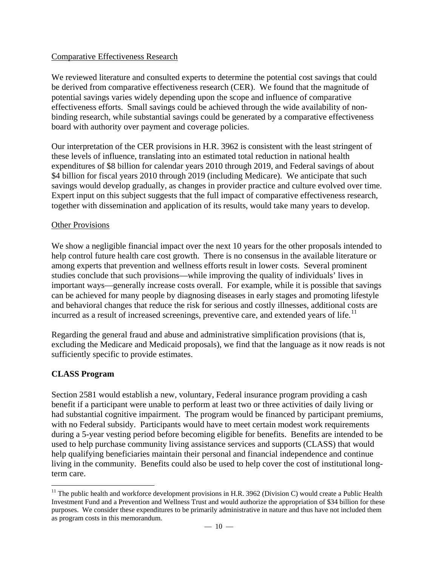## Comparative Effectiveness Research

We reviewed literature and consulted experts to determine the potential cost savings that could be derived from comparative effectiveness research (CER). We found that the magnitude of potential savings varies widely depending upon the scope and influence of comparative effectiveness efforts. Small savings could be achieved through the wide availability of nonbinding research, while substantial savings could be generated by a comparative effectiveness board with authority over payment and coverage policies.

Our interpretation of the CER provisions in H.R. 3962 is consistent with the least stringent of these levels of influence, translating into an estimated total reduction in national health expenditures of \$8 billion for calendar years 2010 through 2019, and Federal savings of about \$4 billion for fiscal years 2010 through 2019 (including Medicare). We anticipate that such savings would develop gradually, as changes in provider practice and culture evolved over time. Expert input on this subject suggests that the full impact of comparative effectiveness research, together with dissemination and application of its results, would take many years to develop.

### Other Provisions

We show a negligible financial impact over the next 10 years for the other proposals intended to help control future health care cost growth. There is no consensus in the available literature or among experts that prevention and wellness efforts result in lower costs. Several prominent studies conclude that such provisions—while improving the quality of individuals' lives in important ways—generally increase costs overall. For example, while it is possible that savings can be achieved for many people by diagnosing diseases in early stages and promoting lifestyle and behavioral changes that reduce the risk for serious and costly illnesses, additional costs are incurred as a result of increased screenings, preventive care, and extended years of life.<sup>[11](#page-9-0)</sup>

Regarding the general fraud and abuse and administrative simplification provisions (that is, excluding the Medicare and Medicaid proposals), we find that the language as it now reads is not sufficiently specific to provide estimates.

## **CLASS Program**

 $\overline{a}$ 

Section 2581 would establish a new, voluntary, Federal insurance program providing a cash benefit if a participant were unable to perform at least two or three activities of daily living or had substantial cognitive impairment. The program would be financed by participant premiums, with no Federal subsidy. Participants would have to meet certain modest work requirements during a 5-year vesting period before becoming eligible for benefits. Benefits are intended to be used to help purchase community living assistance services and supports (CLASS) that would help qualifying beneficiaries maintain their personal and financial independence and continue living in the community. Benefits could also be used to help cover the cost of institutional longterm care.

<span id="page-9-0"></span> $11$  The public health and workforce development provisions in H.R. 3962 (Division C) would create a Public Health Investment Fund and a Prevention and Wellness Trust and would authorize the appropriation of \$34 billion for these purposes. We consider these expenditures to be primarily administrative in nature and thus have not included them as program costs in this memorandum.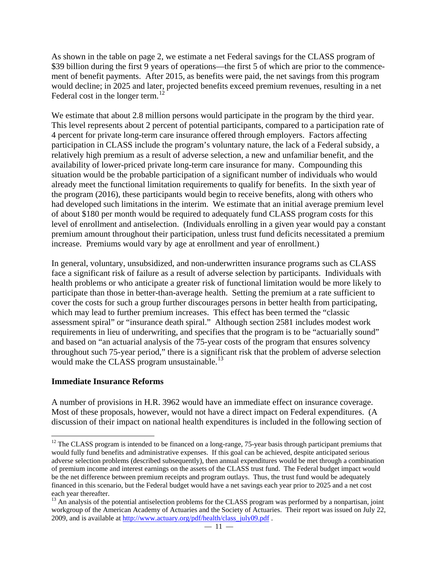As shown in the table on page 2, we estimate a net Federal savings for the CLASS program of \$39 billion during the first 9 years of operations—the first 5 of which are prior to the commencement of benefit payments. After 2015, as benefits were paid, the net savings from this program would decline; in 2025 and later, projected benefits exceed premium revenues, resulting in a net Federal cost in the longer term.<sup>[12](#page-10-0)</sup>

We estimate that about 2.8 million persons would participate in the program by the third year. This level represents about 2 percent of potential participants, compared to a participation rate of 4 percent for private long-term care insurance offered through employers. Factors affecting participation in CLASS include the program's voluntary nature, the lack of a Federal subsidy, a relatively high premium as a result of adverse selection, a new and unfamiliar benefit, and the availability of lower-priced private long-term care insurance for many. Compounding this situation would be the probable participation of a significant number of individuals who would already meet the functional limitation requirements to qualify for benefits. In the sixth year of the program (2016), these participants would begin to receive benefits, along with others who had developed such limitations in the interim. We estimate that an initial average premium level of about \$180 per month would be required to adequately fund CLASS program costs for this level of enrollment and antiselection. (Individuals enrolling in a given year would pay a constant premium amount throughout their participation, unless trust fund deficits necessitated a premium increase. Premiums would vary by age at enrollment and year of enrollment.)

In general, voluntary, unsubsidized, and non-underwritten insurance programs such as CLASS face a significant risk of failure as a result of adverse selection by participants. Individuals with health problems or who anticipate a greater risk of functional limitation would be more likely to participate than those in better-than-average health. Setting the premium at a rate sufficient to cover the costs for such a group further discourages persons in better health from participating, which may lead to further premium increases. This effect has been termed the "classic assessment spiral" or "insurance death spiral." Although section 2581 includes modest work requirements in lieu of underwriting, and specifies that the program is to be "actuarially sound" and based on "an actuarial analysis of the 75-year costs of the program that ensures solvency throughout such 75-year period," there is a significant risk that the problem of adverse selection would make the CLASS program unsustainable.<sup>[13](#page-10-1)</sup>

### **Immediate Insurance Reforms**

 $\overline{a}$ 

A number of provisions in H.R. 3962 would have an immediate effect on insurance coverage. Most of these proposals, however, would not have a direct impact on Federal expenditures. (A discussion of their impact on national health expenditures is included in the following section of

<span id="page-10-0"></span> $12$  The CLASS program is intended to be financed on a long-range, 75-year basis through participant premiums that would fully fund benefits and administrative expenses. If this goal can be achieved, despite anticipated serious adverse selection problems (described subsequently), then annual expenditures would be met through a combination of premium income and interest earnings on the assets of the CLASS trust fund. The Federal budget impact would be the net difference between premium receipts and program outlays. Thus, the trust fund would be adequately financed in this scenario, but the Federal budget would have a net savings each year prior to 2025 and a net cost each year thereafter.

<span id="page-10-1"></span><sup>&</sup>lt;sup>13</sup> An analysis of the potential antiselection problems for the CLASS program was performed by a nonpartisan, joint workgroup of the American Academy of Actuaries and the Society of Actuaries. Their report was issued on July 22, 2009, and is available at [http://www.actuary.org/pdf/health/class\\_july09.pdf](http://www.actuary.org/pdf/health/class_july09.pdf) .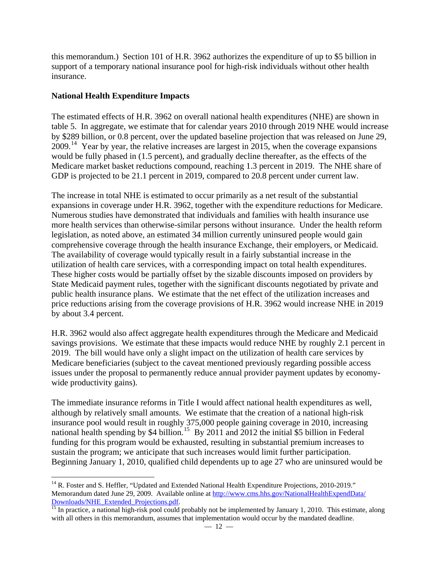this memorandum.) Section 101 of H.R. 3962 authorizes the expenditure of up to \$5 billion in support of a temporary national insurance pool for high-risk individuals without other health insurance.

## **National Health Expenditure Impacts**

 $\overline{a}$ 

The estimated effects of H.R. 3962 on overall national health expenditures (NHE) are shown in table 5. In aggregate, we estimate that for calendar years 2010 through 2019 NHE would increase by \$289 billion, or 0.8 percent, over the updated baseline projection that was released on June 29, 2009.[14](#page-11-0) Year by year, the relative increases are largest in 2015, when the coverage expansions would be fully phased in (1.5 percent), and gradually decline thereafter, as the effects of the Medicare market basket reductions compound, reaching 1.3 percent in 2019. The NHE share of GDP is projected to be 21.1 percent in 2019, compared to 20.8 percent under current law.

The increase in total NHE is estimated to occur primarily as a net result of the substantial expansions in coverage under H.R. 3962, together with the expenditure reductions for Medicare. Numerous studies have demonstrated that individuals and families with health insurance use more health services than otherwise-similar persons without insurance. Under the health reform legislation, as noted above, an estimated 34 million currently uninsured people would gain comprehensive coverage through the health insurance Exchange, their employers, or Medicaid. The availability of coverage would typically result in a fairly substantial increase in the utilization of health care services, with a corresponding impact on total health expenditures. These higher costs would be partially offset by the sizable discounts imposed on providers by State Medicaid payment rules, together with the significant discounts negotiated by private and public health insurance plans. We estimate that the net effect of the utilization increases and price reductions arising from the coverage provisions of H.R. 3962 would increase NHE in 2019 by about 3.4 percent.

H.R. 3962 would also affect aggregate health expenditures through the Medicare and Medicaid savings provisions. We estimate that these impacts would reduce NHE by roughly 2.1 percent in 2019. The bill would have only a slight impact on the utilization of health care services by Medicare beneficiaries (subject to the caveat mentioned previously regarding possible access issues under the proposal to permanently reduce annual provider payment updates by economywide productivity gains).

The immediate insurance reforms in Title I would affect national health expenditures as well, although by relatively small amounts. We estimate that the creation of a national high-risk insurance pool would result in roughly 375,000 people gaining coverage in 2010, increasing national health spending by \$4 billion.<sup>[15](#page-11-1)</sup> By 2011 and 2012 the initial \$5 billion in Federal funding for this program would be exhausted, resulting in substantial premium increases to sustain the program; we anticipate that such increases would limit further participation. Beginning January 1, 2010, qualified child dependents up to age 27 who are uninsured would be

<span id="page-11-0"></span><sup>&</sup>lt;sup>14</sup> R. Foster and S. Heffler, "Updated and Extended National Health Expenditure Projections, 2010-2019." Memorandum dated June 29, 2009. Available online at [http://www.cms.hhs.gov/NationalHealthExpendData/](http://www.cms.hhs.gov/NationalHealthExpendData/Downloads/NHE_Extended_Projections.pdf) [Downloads/NHE\\_Extended\\_Projections.pdf.](http://www.cms.hhs.gov/NationalHealthExpendData/Downloads/NHE_Extended_Projections.pdf) [15](http://www.cms.hhs.gov/NationalHealthExpendData/Downloads/NHE_Extended_Projections.pdf) In practice, a national high-risk pool could probably not be implemented by January 1, 2010. This estimate, along

<span id="page-11-1"></span>with all others in this memorandum, assumes that implementation would occur by the mandated deadline.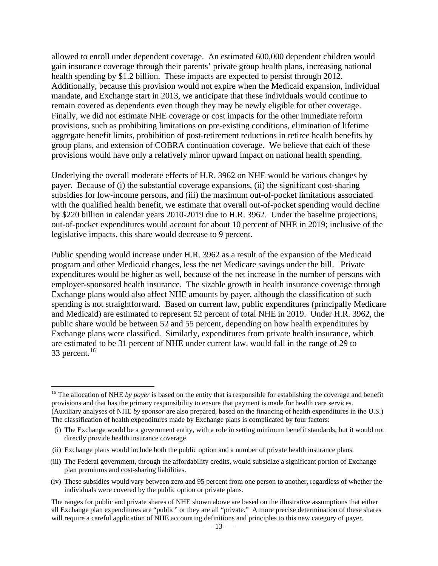allowed to enroll under dependent coverage. An estimated 600,000 dependent children would gain insurance coverage through their parents' private group health plans, increasing national health spending by \$1.2 billion. These impacts are expected to persist through 2012. Additionally, because this provision would not expire when the Medicaid expansion, individual mandate, and Exchange start in 2013, we anticipate that these individuals would continue to remain covered as dependents even though they may be newly eligible for other coverage. Finally, we did not estimate NHE coverage or cost impacts for the other immediate reform provisions, such as prohibiting limitations on pre-existing conditions, elimination of lifetime aggregate benefit limits, prohibition of post-retirement reductions in retiree health benefits by group plans, and extension of COBRA continuation coverage. We believe that each of these provisions would have only a relatively minor upward impact on national health spending.

Underlying the overall moderate effects of H.R. 3962 on NHE would be various changes by payer. Because of (i) the substantial coverage expansions, (ii) the significant cost-sharing subsidies for low-income persons, and (iii) the maximum out-of-pocket limitations associated with the qualified health benefit, we estimate that overall out-of-pocket spending would decline by \$220 billion in calendar years 2010-2019 due to H.R. 3962. Under the baseline projections, out-of-pocket expenditures would account for about 10 percent of NHE in 2019; inclusive of the legislative impacts, this share would decrease to 9 percent.

Public spending would increase under H.R. 3962 as a result of the expansion of the Medicaid program and other Medicaid changes, less the net Medicare savings under the bill. Private expenditures would be higher as well, because of the net increase in the number of persons with employer-sponsored health insurance. The sizable growth in health insurance coverage through Exchange plans would also affect NHE amounts by payer, although the classification of such spending is not straightforward. Based on current law, public expenditures (principally Medicare and Medicaid) are estimated to represent 52 percent of total NHE in 2019. Under H.R. 3962, the public share would be between 52 and 55 percent, depending on how health expenditures by Exchange plans were classified. Similarly, expenditures from private health insurance, which are estimated to be 31 percent of NHE under current law, would fall in the range of 29 to 33 percent.<sup>[16](#page-12-0)</sup>

 $\overline{a}$ 

<span id="page-12-0"></span><sup>&</sup>lt;sup>16</sup> The allocation of NHE *by payer* is based on the entity that is responsible for establishing the coverage and benefit provisions and that has the primary responsibility to ensure that payment is made for health care services. (Auxiliary analyses of NHE *by sponsor* are also prepared, based on the financing of health expenditures in the U.S.) The classification of health expenditures made by Exchange plans is complicated by four factors:

<sup>(</sup>i) The Exchange would be a government entity, with a role in setting minimum benefit standards, but it would not directly provide health insurance coverage.

<sup>(</sup>ii) Exchange plans would include both the public option and a number of private health insurance plans.

<sup>(</sup>iii) The Federal government, through the affordability credits, would subsidize a significant portion of Exchange plan premiums and cost-sharing liabilities.

<sup>(</sup>iv) These subsidies would vary between zero and 95 percent from one person to another, regardless of whether the individuals were covered by the public option or private plans.

The ranges for public and private shares of NHE shown above are based on the illustrative assumptions that either all Exchange plan expenditures are "public" or they are all "private." A more precise determination of these shares will require a careful application of NHE accounting definitions and principles to this new category of payer.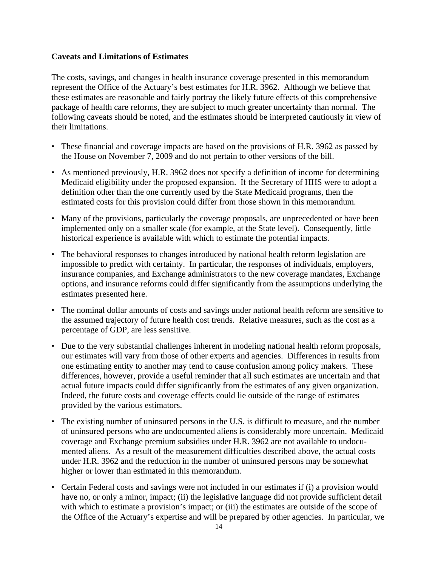## **Caveats and Limitations of Estimates**

The costs, savings, and changes in health insurance coverage presented in this memorandum represent the Office of the Actuary's best estimates for H.R. 3962. Although we believe that these estimates are reasonable and fairly portray the likely future effects of this comprehensive package of health care reforms, they are subject to much greater uncertainty than normal. The following caveats should be noted, and the estimates should be interpreted cautiously in view of their limitations.

- These financial and coverage impacts are based on the provisions of H.R. 3962 as passed by the House on November 7, 2009 and do not pertain to other versions of the bill.
- As mentioned previously, H.R. 3962 does not specify a definition of income for determining Medicaid eligibility under the proposed expansion. If the Secretary of HHS were to adopt a definition other than the one currently used by the State Medicaid programs, then the estimated costs for this provision could differ from those shown in this memorandum.
- Many of the provisions, particularly the coverage proposals, are unprecedented or have been implemented only on a smaller scale (for example, at the State level). Consequently, little historical experience is available with which to estimate the potential impacts.
- The behavioral responses to changes introduced by national health reform legislation are impossible to predict with certainty. In particular, the responses of individuals, employers, insurance companies, and Exchange administrators to the new coverage mandates, Exchange options, and insurance reforms could differ significantly from the assumptions underlying the estimates presented here.
- The nominal dollar amounts of costs and savings under national health reform are sensitive to the assumed trajectory of future health cost trends. Relative measures, such as the cost as a percentage of GDP, are less sensitive.
- Due to the very substantial challenges inherent in modeling national health reform proposals, our estimates will vary from those of other experts and agencies. Differences in results from one estimating entity to another may tend to cause confusion among policy makers. These differences, however, provide a useful reminder that all such estimates are uncertain and that actual future impacts could differ significantly from the estimates of any given organization. Indeed, the future costs and coverage effects could lie outside of the range of estimates provided by the various estimators.
- The existing number of uninsured persons in the U.S. is difficult to measure, and the number of uninsured persons who are undocumented aliens is considerably more uncertain. Medicaid coverage and Exchange premium subsidies under H.R. 3962 are not available to undocumented aliens. As a result of the measurement difficulties described above, the actual costs under H.R. 3962 and the reduction in the number of uninsured persons may be somewhat higher or lower than estimated in this memorandum.
- Certain Federal costs and savings were not included in our estimates if (i) a provision would have no, or only a minor, impact; (ii) the legislative language did not provide sufficient detail with which to estimate a provision's impact; or (iii) the estimates are outside of the scope of the Office of the Actuary's expertise and will be prepared by other agencies. In particular, we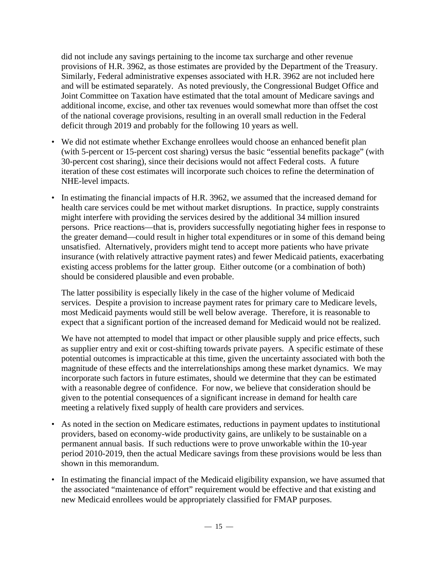did not include any savings pertaining to the income tax surcharge and other revenue provisions of H.R. 3962, as those estimates are provided by the Department of the Treasury. Similarly, Federal administrative expenses associated with H.R. 3962 are not included here and will be estimated separately. As noted previously, the Congressional Budget Office and Joint Committee on Taxation have estimated that the total amount of Medicare savings and additional income, excise, and other tax revenues would somewhat more than offset the cost of the national coverage provisions, resulting in an overall small reduction in the Federal deficit through 2019 and probably for the following 10 years as well.

- We did not estimate whether Exchange enrollees would choose an enhanced benefit plan (with 5-percent or 15-percent cost sharing) versus the basic "essential benefits package" (with 30-percent cost sharing), since their decisions would not affect Federal costs. A future iteration of these cost estimates will incorporate such choices to refine the determination of NHE-level impacts.
- In estimating the financial impacts of H.R. 3962, we assumed that the increased demand for health care services could be met without market disruptions. In practice, supply constraints might interfere with providing the services desired by the additional 34 million insured persons. Price reactions—that is, providers successfully negotiating higher fees in response to the greater demand—could result in higher total expenditures or in some of this demand being unsatisfied. Alternatively, providers might tend to accept more patients who have private insurance (with relatively attractive payment rates) and fewer Medicaid patients, exacerbating existing access problems for the latter group. Either outcome (or a combination of both) should be considered plausible and even probable.

The latter possibility is especially likely in the case of the higher volume of Medicaid services. Despite a provision to increase payment rates for primary care to Medicare levels, most Medicaid payments would still be well below average. Therefore, it is reasonable to expect that a significant portion of the increased demand for Medicaid would not be realized.

We have not attempted to model that impact or other plausible supply and price effects, such as supplier entry and exit or cost-shifting towards private payers. A specific estimate of these potential outcomes is impracticable at this time, given the uncertainty associated with both the magnitude of these effects and the interrelationships among these market dynamics. We may incorporate such factors in future estimates, should we determine that they can be estimated with a reasonable degree of confidence. For now, we believe that consideration should be given to the potential consequences of a significant increase in demand for health care meeting a relatively fixed supply of health care providers and services.

- As noted in the section on Medicare estimates, reductions in payment updates to institutional providers, based on economy-wide productivity gains, are unlikely to be sustainable on a permanent annual basis. If such reductions were to prove unworkable within the 10-year period 2010-2019, then the actual Medicare savings from these provisions would be less than shown in this memorandum.
- In estimating the financial impact of the Medicaid eligibility expansion, we have assumed that the associated "maintenance of effort" requirement would be effective and that existing and new Medicaid enrollees would be appropriately classified for FMAP purposes.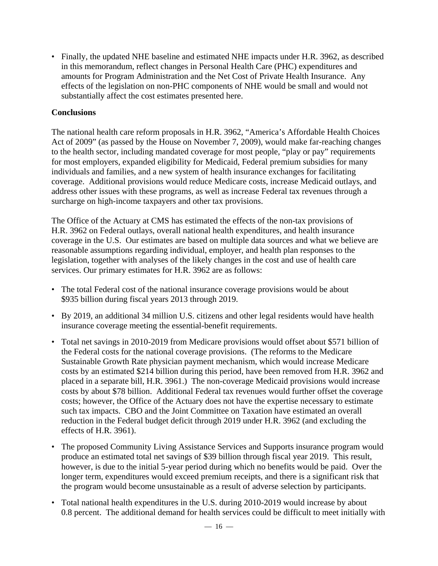• Finally, the updated NHE baseline and estimated NHE impacts under H.R. 3962, as described in this memorandum, reflect changes in Personal Health Care (PHC) expenditures and amounts for Program Administration and the Net Cost of Private Health Insurance. Any effects of the legislation on non-PHC components of NHE would be small and would not substantially affect the cost estimates presented here.

## **Conclusions**

The national health care reform proposals in H.R. 3962, "America's Affordable Health Choices Act of 2009" (as passed by the House on November 7, 2009), would make far-reaching changes to the health sector, including mandated coverage for most people, "play or pay" requirements for most employers, expanded eligibility for Medicaid, Federal premium subsidies for many individuals and families, and a new system of health insurance exchanges for facilitating coverage. Additional provisions would reduce Medicare costs, increase Medicaid outlays, and address other issues with these programs, as well as increase Federal tax revenues through a surcharge on high-income taxpayers and other tax provisions.

The Office of the Actuary at CMS has estimated the effects of the non-tax provisions of H.R. 3962 on Federal outlays, overall national health expenditures, and health insurance coverage in the U.S. Our estimates are based on multiple data sources and what we believe are reasonable assumptions regarding individual, employer, and health plan responses to the legislation, together with analyses of the likely changes in the cost and use of health care services. Our primary estimates for H.R. 3962 are as follows:

- The total Federal cost of the national insurance coverage provisions would be about \$935 billion during fiscal years 2013 through 2019.
- By 2019, an additional 34 million U.S. citizens and other legal residents would have health insurance coverage meeting the essential-benefit requirements.
- Total net savings in 2010-2019 from Medicare provisions would offset about \$571 billion of the Federal costs for the national coverage provisions. (The reforms to the Medicare Sustainable Growth Rate physician payment mechanism, which would increase Medicare costs by an estimated \$214 billion during this period, have been removed from H.R. 3962 and placed in a separate bill, H.R. 3961.) The non-coverage Medicaid provisions would increase costs by about \$78 billion. Additional Federal tax revenues would further offset the coverage costs; however, the Office of the Actuary does not have the expertise necessary to estimate such tax impacts. CBO and the Joint Committee on Taxation have estimated an overall reduction in the Federal budget deficit through 2019 under H.R. 3962 (and excluding the effects of H.R. 3961).
- The proposed Community Living Assistance Services and Supports insurance program would produce an estimated total net savings of \$39 billion through fiscal year 2019. This result, however, is due to the initial 5-year period during which no benefits would be paid. Over the longer term, expenditures would exceed premium receipts, and there is a significant risk that the program would become unsustainable as a result of adverse selection by participants.
- Total national health expenditures in the U.S. during 2010-2019 would increase by about 0.8 percent. The additional demand for health services could be difficult to meet initially with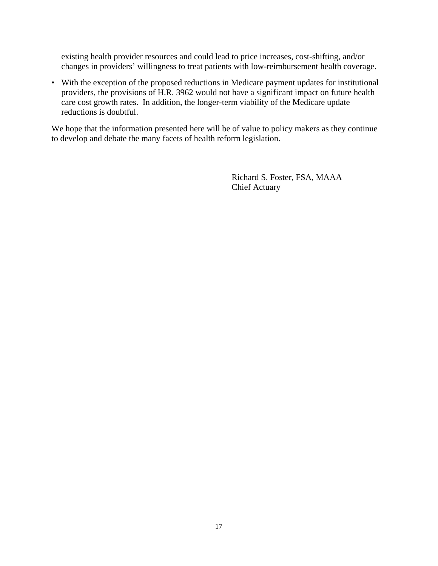existing health provider resources and could lead to price increases, cost-shifting, and/or changes in providers' willingness to treat patients with low-reimbursement health coverage.

• With the exception of the proposed reductions in Medicare payment updates for institutional providers, the provisions of H.R. 3962 would not have a significant impact on future health care cost growth rates. In addition, the longer-term viability of the Medicare update reductions is doubtful.

We hope that the information presented here will be of value to policy makers as they continue to develop and debate the many facets of health reform legislation.

> Richard S. Foster, FSA, MAAA Chief Actuary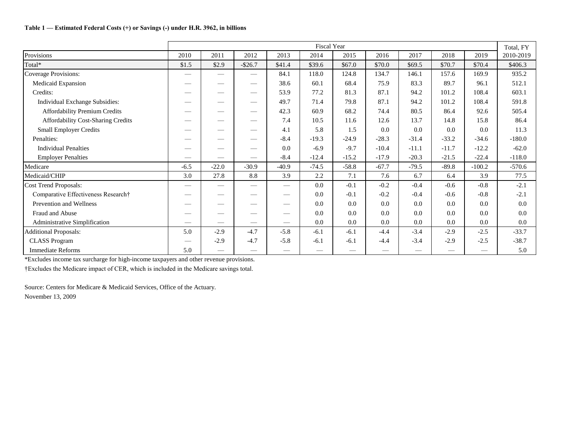### **Table 1 — Estimated Federal Costs (+) or Savings (-) under H.R. 3962, in billions**

|                                      | Fiscal Year              |                                  |                          |                          |         |         |         |         |         |          |           |  |  |
|--------------------------------------|--------------------------|----------------------------------|--------------------------|--------------------------|---------|---------|---------|---------|---------|----------|-----------|--|--|
| Provisions                           | 2010                     | 2011                             | 2012                     | 2013                     | 2014    | 2015    | 2016    | 2017    | 2018    | 2019     | 2010-2019 |  |  |
| Total*                               | \$1.5                    | \$2.9                            | $-$ \$26.7               | \$41.4                   | \$39.6  | \$67.0  | \$70.0  | \$69.5  | \$70.7  | \$70.4   | \$406.3   |  |  |
| <b>Coverage Provisions:</b>          |                          | $\overbrace{\phantom{12322111}}$ | $\overline{\phantom{m}}$ | 84.1                     | 118.0   | 124.8   | 134.7   | 146.1   | 157.6   | 169.9    | 935.2     |  |  |
| Medicaid Expansion                   |                          |                                  |                          | 38.6                     | 60.1    | 68.4    | 75.9    | 83.3    | 89.7    | 96.1     | 512.1     |  |  |
| Credits:                             |                          |                                  |                          | 53.9                     | 77.2    | 81.3    | 87.1    | 94.2    | 101.2   | 108.4    | 603.1     |  |  |
| Individual Exchange Subsidies:       |                          | $\sim$                           | $\hspace{0.05cm}$        | 49.7                     | 71.4    | 79.8    | 87.1    | 94.2    | 101.2   | 108.4    | 591.8     |  |  |
| <b>Affordability Premium Credits</b> |                          |                                  |                          | 42.3                     | 60.9    | 68.2    | 74.4    | 80.5    | 86.4    | 92.6     | 505.4     |  |  |
| Affordability Cost-Sharing Credits   |                          |                                  |                          | 7.4                      | 10.5    | 11.6    | 12.6    | 13.7    | 14.8    | 15.8     | 86.4      |  |  |
| <b>Small Employer Credits</b>        |                          |                                  |                          | 4.1                      | 5.8     | 1.5     | 0.0     | 0.0     | 0.0     | 0.0      | 11.3      |  |  |
| Penalties:                           |                          |                                  |                          | $-8.4$                   | $-19.3$ | $-24.9$ | $-28.3$ | $-31.4$ | $-33.2$ | $-34.6$  | $-180.0$  |  |  |
| <b>Individual Penalties</b>          |                          |                                  | $\hspace{0.05cm}$        | 0.0                      | $-6.9$  | $-9.7$  | $-10.4$ | $-11.1$ | $-11.7$ | $-12.2$  | $-62.0$   |  |  |
| <b>Employer Penalties</b>            |                          | $\qquad \qquad$                  |                          | $-8.4$                   | $-12.4$ | $-15.2$ | $-17.9$ | $-20.3$ | $-21.5$ | $-22.4$  | $-118.0$  |  |  |
| Medicare                             | $-6.5$                   | $-22.0$                          | $-30.9$                  | $-40.9$                  | $-74.5$ | $-58.8$ | $-67.7$ | $-79.5$ | $-89.8$ | $-100.2$ | $-570.6$  |  |  |
| Medicaid/CHIP                        | 3.0                      | 27.8                             | 8.8                      | 3.9                      | 2.2     | 7.1     | 7.6     | 6.7     | 6.4     | 3.9      | 77.5      |  |  |
| <b>Cost Trend Proposals:</b>         |                          | $\overline{\phantom{a}}$         |                          | $\overline{\phantom{0}}$ | 0.0     | $-0.1$  | $-0.2$  | $-0.4$  | $-0.6$  | $-0.8$   | $-2.1$    |  |  |
| Comparative Effectiveness Research†  |                          |                                  |                          |                          | 0.0     | $-0.1$  | $-0.2$  | $-0.4$  | $-0.6$  | $-0.8$   | $-2.1$    |  |  |
| Prevention and Wellness              |                          |                                  |                          | —                        | 0.0     | 0.0     | 0.0     | 0.0     | 0.0     | 0.0      | 0.0       |  |  |
| Fraud and Abuse                      |                          |                                  |                          | —                        | 0.0     | 0.0     | 0.0     | 0.0     | 0.0     | 0.0      | 0.0       |  |  |
| Administrative Simplification        |                          |                                  |                          |                          | 0.0     | 0.0     | 0.0     | 0.0     | 0.0     | 0.0      | 0.0       |  |  |
| <b>Additional Proposals:</b>         | 5.0                      | $-2.9$                           | $-4.7$                   | $-5.8$                   | $-6.1$  | $-6.1$  | $-4.4$  | $-3.4$  | $-2.9$  | $-2.5$   | $-33.7$   |  |  |
| <b>CLASS Program</b>                 | $\overline{\phantom{0}}$ | $-2.9$                           | $-4.7$                   | $-5.8$                   | $-6.1$  | $-6.1$  | $-4.4$  | $-3.4$  | $-2.9$  | $-2.5$   | $-38.7$   |  |  |
| <b>Immediate Reforms</b>             | 5.0                      | $\qquad \qquad$                  |                          |                          |         |         |         |         |         |          | 5.0       |  |  |

\*Excludes income tax surcharge for high-income taxpayers and other revenue provisions.

†Excludes the Medicare impact of CER, which is included in the Medicare savings total.

Source: Centers for Medicare & Medicaid Services, Office of the Actuary. November 13, 2009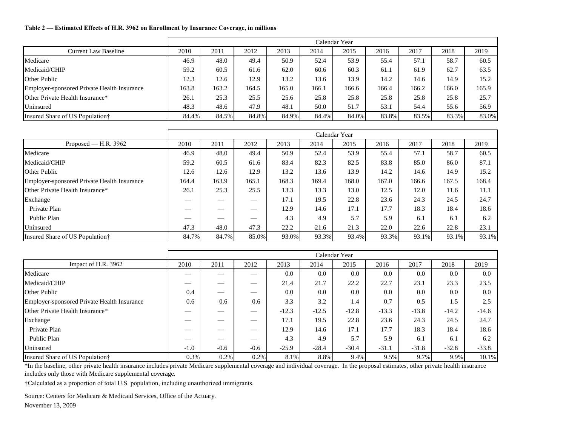#### **Table 2 — Estimated Effects of H.R. 3962 on Enrollment by Insurance Coverage, in millions**

|                                             |       |       |       |       |       | Calendar Year |       |       |       |       |
|---------------------------------------------|-------|-------|-------|-------|-------|---------------|-------|-------|-------|-------|
| <b>Current Law Baseline</b>                 | 2010  | 2011  | 2012  | 2013  | 2014  | 2015          | 2016  | 2017  | 2018  | 2019  |
| Medicare                                    | 46.9  | 48.0  | 49.4  | 50.9  | 52.4  | 53.9          | 55.4  | 57.1  | 58.7  | 60.5  |
| Medicaid/CHIP                               | 59.2  | 60.5  | 61.6  | 62.0  | 60.6  | 60.3          | 61.1  | 61.9  | 62.7  | 63.5  |
| <b>Other Public</b>                         | 12.3  | 12.6  | 12.9  | 13.2  | 13.6  | 13.9          | 14.2  | 14.6  | 14.9  | 15.2  |
| Employer-sponsored Private Health Insurance | 163.8 | 163.2 | 164.5 | 165.0 | 166.1 | 166.6         | 166.4 | 166.2 | 166.0 | 165.9 |
| <b>Other Private Health Insurance*</b>      | 26.1  | 25.3  | 25.5  | 25.6  | 25.8  | 25.8          | 25.8  | 25.8  | 25.8  | 25.7  |
| Uninsured                                   | 48.3  | 48.6  | 47.9  | 48.1  | 50.0  | 51.7          | 53.1  | 54.4  | 55.6  | 56.9  |
| Insured Share of US Population†             | 84.4% | 84.5% | 84.8% | 84.9% | 84.4% | 84.0%         | 83.8% | 83.5% | 83.3% | 83.0% |

|                                             |       |        |       |       |       | Calendar Year |       |       |       |       |
|---------------------------------------------|-------|--------|-------|-------|-------|---------------|-------|-------|-------|-------|
| Proposed — H.R. $3962$                      | 2010  | 2011   | 2012  | 2013  | 2014  | 2015          | 2016  | 2017  | 2018  | 2019  |
| Medicare                                    | 46.9  | 48.0   | 49.4  | 50.9  | 52.4  | 53.9          | 55.4  | 57.1  | 58.7  | 60.5  |
| Medicaid/CHIP                               | 59.2  | 60.5   | 61.6  | 83.4  | 82.3  | 82.5          | 83.8  | 85.0  | 86.0  | 87.1  |
| <b>Other Public</b>                         | 12.6  | 12.6   | 12.9  | 13.2  | 13.6  | 13.9          | 14.2  | 14.6  | 14.9  | 15.2  |
| Employer-sponsored Private Health Insurance | 164.4 | 163.9  | 165.1 | 168.3 | 169.4 | 168.0         | 167.0 | 166.6 | 167.5 | 168.4 |
| Other Private Health Insurance*             | 26.1  | 25.3   | 25.5  | 13.3  | 13.3  | 13.0          | 12.5  | 12.0  | 11.6  | 11.1  |
| Exchange                                    |       | $\sim$ |       | 17.1  | 19.5  | 22.8          | 23.6  | 24.3  | 24.5  | 24.7  |
| Private Plan                                |       |        |       | 12.9  | 14.6  | 17.1          | 17.7  | 18.3  | 18.4  | 18.6  |
| Public Plan                                 |       |        |       | 4.3   | 4.9   | 5.7           | 5.9   | 6.1   | 6.1   | 6.2   |
| Uninsured                                   | 47.3  | 48.0   | 47.3  | 22.2  | 21.6  | 21.3          | 22.0  | 22.6  | 22.8  | 23.1  |
| Insured Share of US Population†             | 84.7% | 84.7%  | 85.0% | 93.0% | 93.3% | 93.4%         | 93.3% | 93.1% | 93.1% | 93.1% |

|                                             |        |                   |                          |         |         | Calendar Year |         |         |         |         |
|---------------------------------------------|--------|-------------------|--------------------------|---------|---------|---------------|---------|---------|---------|---------|
| Impact of H.R. 3962                         | 2010   | 2011              | 2012                     | 2013    | 2014    | 2015          | 2016    | 2017    | 2018    | 2019    |
| Medicare                                    |        |                   | __                       | 0.0     | 0.0     | 0.0           | 0.0     | 0.0     | 0.0     | 0.0     |
| Medicaid/CHIP                               | ___    | ___               |                          | 21.4    | 21.7    | 22.2          | 22.7    | 23.1    | 23.3    | 23.5    |
| <b>Other Public</b>                         | 0.4    |                   | $\overline{\phantom{a}}$ | 0.0     | 0.0     | 0.0           | 0.0     | 0.0     | 0.0     | 0.0     |
| Employer-sponsored Private Health Insurance | 0.6    | 0.6               | 0.6                      | 3.3     | 3.2     | 1.4           | 0.7     | 0.5     | 1.5     | 2.5     |
| Other Private Health Insurance*             |        |                   |                          | $-12.3$ | $-12.5$ | $-12.8$       | $-13.3$ | $-13.8$ | $-14.2$ | $-14.6$ |
| Exchange                                    |        |                   |                          | 17.1    | 19.5    | 22.8          | 23.6    | 24.3    | 24.5    | 24.7    |
| Private Plan                                |        | <b>STATISTICS</b> |                          | 12.9    | 14.6    | 17.1          | 17.7    | 18.3    | 18.4    | 18.6    |
| Public Plan                                 |        |                   | $\overline{\phantom{a}}$ | 4.3     | 4.9     | 5.7           | 5.9     | 6.1     | 6.1     | 6.2     |
| Uninsured                                   | $-1.0$ | $-0.6$            | $-0.6$                   | $-25.9$ | $-28.4$ | $-30.4$       | $-31.1$ | $-31.8$ | $-32.8$ | $-33.8$ |
| Insured Share of US Population†             | 0.3%   | 0.2%              | 0.2%                     | 8.1%    | 8.8%    | 9.4%          | 9.5%    | 9.7%    | 9.9%    | 10.1%   |

\*In the baseline, other private health insurance includes private Medicare supplemental coverage and individual coverage. In the proposal estimates, other private health insurance includes only those with Medicare supplemental coverage.

†Calculated as a proportion of total U.S. population, including unauthorized immigrants.

Source: Centers for Medicare & Medicaid Services, Office of the Actuary.

November 13, 2009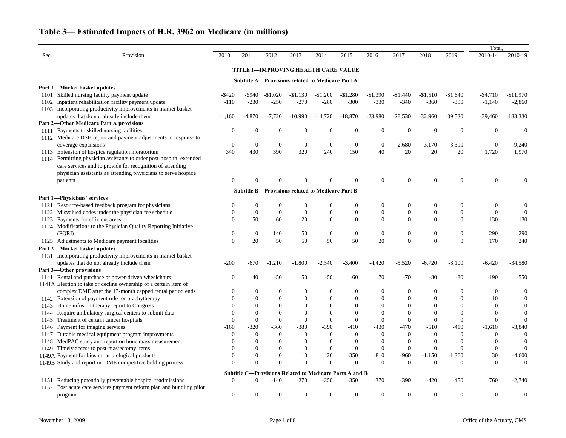|      |                                                                  |                |                  |                      |                                                         |                  |                                                         |                  |                  |                  |                  | Total,           |                  |
|------|------------------------------------------------------------------|----------------|------------------|----------------------|---------------------------------------------------------|------------------|---------------------------------------------------------|------------------|------------------|------------------|------------------|------------------|------------------|
| Sec. | Provision                                                        | 2010           | 2011             | 2012                 | 2013                                                    | 2014             | 2015                                                    | 2016             | 2017             | 2018             | 2019             | 2010-14          | 2010-19          |
|      |                                                                  |                |                  |                      | TITLE I-IMPROVING HEALTH CARE VALUE                     |                  |                                                         |                  |                  |                  |                  |                  |                  |
|      |                                                                  |                |                  |                      | <b>Subtitle A-Provisions related to Medicare Part A</b> |                  |                                                         |                  |                  |                  |                  |                  |                  |
|      | Part 1-Market basket updates                                     |                |                  |                      |                                                         |                  |                                                         |                  |                  |                  |                  |                  |                  |
|      | 1101 Skilled nursing facility payment update                     | $-$ \$420      | -\$940           | $-\$1,020$           | $-$1,130$                                               | $-\$1,200$       | $-$1,280$                                               | $-$1,390$        | $-$1,440$        | $-$1,510$        | $-$1,640$        | $-$4,710$        | $-$11,970$       |
| 1102 | Inpatient rehabilitation facility payment update                 | $-110$         | $-230$           | $-250$               | $-270$                                                  | $-280$           | $-300$                                                  | $-330$           | $-340$           | $-360$           | $-390$           | $-1,140$         | $-2,860$         |
|      | 1103 Incorporating productivity improvements in market basket    |                |                  |                      |                                                         |                  |                                                         |                  |                  |                  |                  |                  |                  |
|      | updates that do not already include them                         | $-1,160$       | $-4,870$         | $-7,720$             | $-10,990$                                               | $-14,720$        | $-18,870$                                               | $-23,980$        | $-28,530$        | $-32,960$        | $-39,530$        | $-39,460$        | $-183,330$       |
|      | <b>Part 2-Other Medicare Part A provisions</b>                   |                |                  |                      |                                                         |                  |                                                         |                  |                  |                  |                  |                  |                  |
| 1111 | Payments to skilled nursing facilities                           | $\Omega$       | $\Omega$         | $\mathbf{0}$         | $\theta$                                                | $\boldsymbol{0}$ | $\mathbf{0}$                                            | $\boldsymbol{0}$ | $\boldsymbol{0}$ | $\boldsymbol{0}$ | $\mathbf{0}$     | $\theta$         | $\overline{0}$   |
|      | 1112 Medicare DSH report and payment adjustments in response to  |                |                  |                      |                                                         |                  |                                                         |                  |                  |                  |                  |                  |                  |
|      | coverage expansions                                              | $\overline{0}$ | $\boldsymbol{0}$ | $\boldsymbol{0}$     | $\overline{0}$                                          | $\boldsymbol{0}$ | $\overline{0}$                                          | $\boldsymbol{0}$ | $-2,680$         | $-3,170$         | $-3,390$         | $\boldsymbol{0}$ | $-9,240$         |
| 1113 | Extension of hospice regulation moratorium                       | 340            | 430              | 390                  | 320                                                     | 240              | 150                                                     | 40               | 20               | 20               | 20               | 1,720            | 1,970            |
| 1114 | Permitting physician assistants to order post-hospital extended  |                |                  |                      |                                                         |                  |                                                         |                  |                  |                  |                  |                  |                  |
|      | care services and to provide for recognition of attending        |                |                  |                      |                                                         |                  |                                                         |                  |                  |                  |                  |                  |                  |
|      | physician assistants as attending physicians to serve hospice    |                |                  |                      |                                                         |                  |                                                         |                  |                  |                  |                  |                  |                  |
|      | patients                                                         | 0              |                  |                      |                                                         | $\Omega$         | $\Omega$                                                | $\boldsymbol{0}$ | $\Omega$         | $\Omega$         | $\Omega$         | $\theta$         |                  |
|      |                                                                  |                |                  |                      | <b>Subtitle B-Provisions related to Medicare Part B</b> |                  |                                                         |                  |                  |                  |                  |                  |                  |
|      | Part 1-Physicians' services                                      |                |                  |                      |                                                         |                  |                                                         |                  |                  |                  |                  |                  |                  |
| 1121 | Resource-based feedback program for physicians                   |                | $\theta$         | $\theta$             | $\overline{0}$                                          | $\boldsymbol{0}$ | $\boldsymbol{0}$                                        | $\boldsymbol{0}$ | $\boldsymbol{0}$ | $\overline{0}$   | $\boldsymbol{0}$ | $\boldsymbol{0}$ | $\boldsymbol{0}$ |
| 1122 | Misvalued codes under the physician fee schedule                 | $\theta$       | $\overline{0}$   | $\boldsymbol{0}$     | $\overline{0}$                                          | $\boldsymbol{0}$ | $\boldsymbol{0}$                                        | $\boldsymbol{0}$ | $\boldsymbol{0}$ | $\boldsymbol{0}$ | $\boldsymbol{0}$ | $\overline{0}$   | $\overline{0}$   |
| 1123 | Payments for efficient areas                                     | $\Omega$       | 50               | 60                   | 20                                                      | $\mathbf{0}$     | $\boldsymbol{0}$                                        | $\overline{0}$   | $\Omega$         | $\Omega$         | $\Omega$         | 130              | 130              |
|      | 1124 Modifications to the Physician Quality Reporting Initiative |                |                  |                      |                                                         |                  |                                                         |                  |                  |                  |                  |                  |                  |
|      | (PQRI)                                                           | $\theta$       | $\overline{0}$   | 140                  | 150                                                     | $\boldsymbol{0}$ | $\overline{0}$                                          | $\boldsymbol{0}$ | $\boldsymbol{0}$ | $\boldsymbol{0}$ | $\boldsymbol{0}$ | 290              | 290              |
|      | 1125 Adjustments to Medicare payment localities                  | $\mathbf{0}$   | 20               | 50                   | 50                                                      | 50               | 50                                                      | 20               | $\boldsymbol{0}$ | $\boldsymbol{0}$ | $\boldsymbol{0}$ | 170              | 240              |
|      | Part 2-Market basket updates                                     |                |                  |                      |                                                         |                  |                                                         |                  |                  |                  |                  |                  |                  |
|      | 1131 Incorporating productivity improvements in market basket    |                |                  |                      |                                                         |                  |                                                         |                  |                  |                  |                  |                  |                  |
|      | updates that do not already include them                         | $-200$         | $-670$           | $-1,210$             | $-1,800$                                                | $-2,540$         | $-3,400$                                                | $-4,420$         | $-5,520$         | $-6,720$         | $-8,100$         | $-6,420$         | $-34,580$        |
|      | Part 3-Other provisions                                          |                |                  |                      |                                                         |                  |                                                         |                  |                  |                  |                  |                  |                  |
|      | 1141 Rental and purchase of power-driven wheelchairs             | $\theta$       | $-40$            | $-50$                | $-50$                                                   | $-50$            | $-60$                                                   | $-70$            | $-70$            | $-80$            | $-80$            | $-190$           | $-550$           |
|      | 1141A Election to take or decline ownership of a certain item of |                |                  |                      |                                                         |                  |                                                         |                  |                  |                  |                  |                  |                  |
|      | complex DME after the 13-month capped rental period ends         | $\overline{0}$ | 0                | $\boldsymbol{0}$     | $\overline{0}$                                          | $\boldsymbol{0}$ | $\overline{0}$                                          | $\boldsymbol{0}$ | $\boldsymbol{0}$ | $\theta$         | $\theta$         | $\boldsymbol{0}$ | 0                |
|      | 1142 Extension of payment rule for brachytherapy                 | $\Omega$       | 10               | $\Omega$             | $\Omega$                                                | $\Omega$         | $\Omega$                                                | $\Omega$         | $\Omega$         | $\Omega$         | $\Omega$         | 10               | 10               |
|      | 1143 Home infusion therapy report to Congress                    |                |                  | $\Omega$             |                                                         | $\Omega$         | $\Omega$                                                | $\Omega$         | $\Omega$         |                  |                  |                  |                  |
| 1144 | Require ambulatory surgical centers to submit data               |                |                  | $\Omega$             |                                                         | $\Omega$         | $\Omega$                                                | $\Omega$         |                  |                  |                  |                  |                  |
| 1145 | Treatment of certain cancer hospitals                            |                | $\theta$         | $\mathbf{0}$         | $\mathbf{0}$                                            | $\boldsymbol{0}$ | $\boldsymbol{0}$                                        | $\theta$         | $\theta$         | $\theta$         | $\theta$         |                  |                  |
| 1146 | Payment for imaging services                                     | $-160$         | $-320$           | $-360$               | $-380$                                                  | $-390$           | $-410$                                                  | $-430$           | $-470$           | $-510$           | $-410$           | $-1,610$         | $-3,840$         |
| 1147 | Durable medical equipment program improvments                    |                | $\theta$         | $\mathbf{0}$         | $\mathbf{0}$                                            | $\theta$         | $\mathbf{0}$                                            | $\theta$         | $\overline{0}$   | $\Omega$         | $\theta$         |                  |                  |
| 1148 | MedPAC study and report on bone mass measurement                 |                |                  | 0                    | 0                                                       | $\Omega$         | $\theta$                                                | $\Omega$         | $\theta$         | $\Omega$         | $\Omega$         |                  |                  |
| 1149 | Timely access to post-mastectomy items                           |                |                  | $\Omega$<br>$\Omega$ | $\Omega$                                                | $\theta$         | $\overline{0}$                                          | $\theta$         | $\mathbf{0}$     | $\theta$         | $\Omega$         | $\theta$         |                  |
|      | 1149A Payment for biosimilar biological products                 |                |                  |                      | 10                                                      | $20\,$           | $-350$                                                  | $-810$           | $-960$           | $-1,150$         | $-1,360$         | 30               | $-4,600$         |
|      | 1149B Study and report on DME competitive bidding process        |                | $\Omega$         | $\Omega$             | $\overline{0}$                                          | $\overline{0}$   | $\mathbf{0}$                                            | $\overline{0}$   | $\mathbf{0}$     | $\theta$         | $\Omega$         | $\theta$         | 0                |
|      |                                                                  |                |                  |                      |                                                         |                  | Subtitle C-Provisions Related to Medicare Parts A and B |                  |                  |                  |                  |                  |                  |
| 1151 | Reducing potentially preventable hospital readmissions           | $\overline{0}$ | $\overline{0}$   | $-140$               | $-270$                                                  | $-350$           | $-350$                                                  | $-370$           | $-390$           | $-420$           | $-450$           | $-760$           | $-2,740$         |
| 1152 | Post acute care services payment reform plan and bundling pilot  |                |                  |                      |                                                         |                  |                                                         |                  |                  |                  |                  |                  |                  |
|      | program                                                          | $\overline{0}$ | $\Omega$         | $\overline{0}$       | $\overline{0}$                                          | $\mathbf{0}$     | $\boldsymbol{0}$                                        | $\boldsymbol{0}$ | $\boldsymbol{0}$ | $\boldsymbol{0}$ | $\mathbf{0}$     | $\theta$         | $\boldsymbol{0}$ |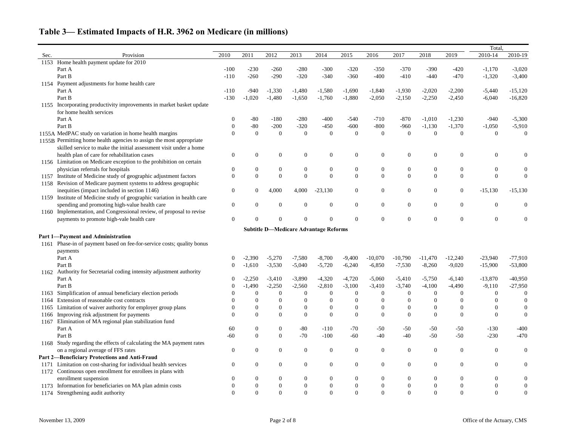|      |                                                                         |                  |                  |                  |                  |                                              |                  |                  |                  |                  |                  | Total,           |                  |
|------|-------------------------------------------------------------------------|------------------|------------------|------------------|------------------|----------------------------------------------|------------------|------------------|------------------|------------------|------------------|------------------|------------------|
| Sec. | Provision                                                               | 2010             | 2011             | 2012             | 2013             | 2014                                         | 2015             | 2016             | 2017             | 2018             | 2019             | 2010-14          | 2010-19          |
| 1153 | Home health payment update for 2010                                     |                  |                  |                  |                  |                                              |                  |                  |                  |                  |                  |                  |                  |
|      | Part A                                                                  | $-100$           | $-230$           | $-260$           | $-280$           | $-300$                                       | $-320$           | $-350$           | $-370$           | $-390$           | $-420$           | $-1,170$         | $-3,020$         |
|      | Part B                                                                  | $-110$           | $-260$           | $-290$           | $-320$           | $-340$                                       | $-360$           | $-400$           | $-410$           | $-440$           | $-470$           | $-1,320$         | $-3,400$         |
|      | 1154 Payment adjustments for home health care                           |                  |                  |                  |                  |                                              |                  |                  |                  |                  |                  |                  |                  |
|      | Part A                                                                  | $-110$           | $-940$           | $-1,330$         | $-1,480$         | $-1,580$                                     | $-1,690$         | $-1,840$         | $-1,930$         | $-2,020$         | $-2,200$         | $-5,440$         | $-15,120$        |
|      | Part B                                                                  | $-130$           | $-1,020$         | $-1,480$         | $-1,650$         | $-1,760$                                     | $-1,880$         | $-2,050$         | $-2,150$         | $-2,250$         | $-2,450$         | $-6,040$         | $-16,820$        |
|      | 1155 Incorporating productivity improvements in market basket update    |                  |                  |                  |                  |                                              |                  |                  |                  |                  |                  |                  |                  |
|      | for home health services                                                |                  |                  |                  |                  |                                              |                  |                  |                  |                  |                  |                  |                  |
|      | Part A                                                                  | 0                | $-80$            | $-180$           | $-280$           | $-400$                                       | $-540$           | $-710$           | $-870$           | $-1,010$         | $-1,230$         | $-940$           | $-5,300$         |
|      | Part B                                                                  | $\boldsymbol{0}$ | $-80$            | $-200$           | $-320$           | $-450$                                       | $-600$           | $-800$           | $-960$           | $-1,130$         | $-1,370$         | $-1,050$         | $-5,910$         |
|      | 1155A MedPAC study on variation in home health margins                  | $\overline{0}$   | $\boldsymbol{0}$ | $\boldsymbol{0}$ | $\boldsymbol{0}$ | $\boldsymbol{0}$                             | $\boldsymbol{0}$ | $\boldsymbol{0}$ | $\boldsymbol{0}$ | $\boldsymbol{0}$ | $\theta$         | $\theta$         | $\boldsymbol{0}$ |
|      | 1155B Permitting home health agencies to assign the most appropriate    |                  |                  |                  |                  |                                              |                  |                  |                  |                  |                  |                  |                  |
|      | skilled service to make the initial assessment visit under a home       |                  |                  |                  |                  |                                              |                  |                  |                  |                  |                  |                  |                  |
|      | health plan of care for rehabilitation cases                            | $\overline{0}$   | $\mathbf{0}$     | $\overline{0}$   | $\overline{0}$   | $\overline{0}$                               | $\mathbf{0}$     | $\boldsymbol{0}$ | $\boldsymbol{0}$ | $\boldsymbol{0}$ | $\theta$         |                  |                  |
|      | 1156 Limitation on Medicare exception to the prohibition on certain     |                  |                  |                  |                  |                                              |                  |                  |                  |                  |                  |                  |                  |
|      | physician referrals for hospitals                                       | $\overline{0}$   | $\theta$         | $\boldsymbol{0}$ | $\overline{0}$   | $\boldsymbol{0}$                             | $\boldsymbol{0}$ | $\boldsymbol{0}$ | $\boldsymbol{0}$ | $\boldsymbol{0}$ | $\boldsymbol{0}$ | $\theta$         |                  |
|      | 1157 Institute of Medicine study of geographic adjustment factors       | $\Omega$         | $\Omega$         | $\theta$         | $\boldsymbol{0}$ | $\overline{0}$                               | $\boldsymbol{0}$ | $\boldsymbol{0}$ | $\mathbf{0}$     | $\boldsymbol{0}$ | $\boldsymbol{0}$ | $\Omega$         | $\mathbf{0}$     |
| 1158 | Revision of Medicare payment systems to address geographic              |                  |                  |                  |                  |                                              |                  |                  |                  |                  |                  |                  |                  |
|      | inequities (impact included in section 1146)                            | $\overline{0}$   | $\mathbf{0}$     | 4,000            | 4,000            | $-23,130$                                    | $\mathbf{0}$     | $\boldsymbol{0}$ | $\boldsymbol{0}$ | $\boldsymbol{0}$ | $\boldsymbol{0}$ | $-15,130$        | $-15,130$        |
|      | 1159 Institute of Medicine study of geographic variation in health care |                  |                  |                  |                  |                                              |                  |                  |                  |                  |                  |                  |                  |
|      | spending and promoting high-value health care                           | $\theta$         | $\Omega$         | $\theta$         | $\mathbf{0}$     | $\overline{0}$                               | $\boldsymbol{0}$ | $\boldsymbol{0}$ | $\overline{0}$   | $\overline{0}$   | $\mathbf{0}$     | $\Omega$         |                  |
|      | 1160 Implementation, and Congressional review, of proposal to revise    |                  |                  |                  |                  |                                              |                  |                  |                  |                  |                  |                  |                  |
|      | payments to promote high-vale health care                               | $\overline{0}$   |                  | $\Omega$         | $\overline{0}$   | $\overline{0}$                               | $\boldsymbol{0}$ | $\boldsymbol{0}$ | $\boldsymbol{0}$ | $\boldsymbol{0}$ | $\theta$         | $\overline{0}$   |                  |
|      |                                                                         |                  |                  |                  |                  |                                              |                  |                  |                  |                  |                  |                  |                  |
|      | Part 1-Payment and Administration                                       |                  |                  |                  |                  | <b>Subtitle D-Medicare Advantage Reforms</b> |                  |                  |                  |                  |                  |                  |                  |
|      | 1161 Phase-in of payment based on fee-for-service costs; quality bonus  |                  |                  |                  |                  |                                              |                  |                  |                  |                  |                  |                  |                  |
|      |                                                                         |                  |                  |                  |                  |                                              |                  |                  |                  |                  |                  |                  |                  |
|      | payments<br>Part A                                                      |                  | $-2,390$         | $-5,270$         | $-7,580$         | $-8,700$                                     | $-9,400$         | $-10,070$        | $-10,790$        | $-11,470$        | $-12,240$        | $-23,940$        | $-77,910$        |
|      | Part B                                                                  | $\theta$         | $-1,610$         | $-3,530$         | $-5,040$         | $-5,720$                                     | $-6,240$         | $-6,850$         | $-7,530$         | $-8,260$         | $-9,020$         | $-15,900$        | $-53,800$        |
|      | 1162 Authority for Secretarial coding intensity adjustment authority    |                  |                  |                  |                  |                                              |                  |                  |                  |                  |                  |                  |                  |
|      | Part A                                                                  |                  | $-2,250$         | $-3,410$         | $-3,890$         | $-4,320$                                     | $-4,720$         | $-5,060$         | $-5,410$         | $-5,750$         | $-6,140$         | $-13,870$        | $-40,950$        |
|      | Part B                                                                  |                  | $-1,490$         | $-2,250$         | $-2,560$         | $-2,810$                                     | $-3,100$         | $-3,410$         | $-3,740$         | $-4,100$         | $-4,490$         | $-9,110$         | $-27,950$        |
|      | 1163 Simplification of annual beneficiary election periods              |                  | $\theta$         | $\theta$         | $\overline{0}$   | $\boldsymbol{0}$                             | $\overline{0}$   | $\overline{0}$   | $\overline{0}$   | $\theta$         | $\Omega$         |                  | $\mathbf{0}$     |
|      | 1164 Extension of reasonable cost contracts                             | $\Omega$         | $\Omega$         | $\Omega$         | $\Omega$         | $\overline{0}$                               | $\overline{0}$   | $\overline{0}$   | $\overline{0}$   | $\overline{0}$   | $\Omega$         |                  | $\Omega$         |
|      | 1165 Limitation of waiver authority for employer group plans            | $\theta$         | $\theta$         | $\theta$         | $\boldsymbol{0}$ | $\boldsymbol{0}$                             | $\boldsymbol{0}$ | $\boldsymbol{0}$ | $\boldsymbol{0}$ | $\boldsymbol{0}$ | $\boldsymbol{0}$ | $\theta$         |                  |
|      | 1166 Improving risk adjustment for payments                             | $\Omega$         | $\Omega$         | $\boldsymbol{0}$ | $\overline{0}$   | $\boldsymbol{0}$                             | $\boldsymbol{0}$ | $\boldsymbol{0}$ | $\boldsymbol{0}$ | $\boldsymbol{0}$ | $\boldsymbol{0}$ | $\theta$         |                  |
| 1167 | Elimination of MA regional plan stabilization fund                      |                  |                  |                  |                  |                                              |                  |                  |                  |                  |                  |                  |                  |
|      | Part A                                                                  | 60               | $\bf{0}$         | $\boldsymbol{0}$ | $-80$            | $-110$                                       | $-70$            | $-50$            | $-50$            | $-50$            | $-50$            | $-130$           | $-400$           |
|      | Part B                                                                  | $-60$            | $\boldsymbol{0}$ | $\mathbf{0}$     | $-70$            | $-100$                                       | $-60$            | $-40$            | $-40$            | $-50$            | $-50$            | $-230$           | $-470$           |
|      | 1168 Study regarding the effects of calculating the MA payment rates    |                  |                  |                  |                  |                                              |                  |                  |                  |                  |                  |                  |                  |
|      | on a regional average of FFS rates                                      | $\overline{0}$   | $\boldsymbol{0}$ | $\overline{0}$   | $\boldsymbol{0}$ | $\boldsymbol{0}$                             | $\boldsymbol{0}$ | $\boldsymbol{0}$ | $\boldsymbol{0}$ | $\boldsymbol{0}$ | $\boldsymbol{0}$ | $\overline{0}$   | $\mathbf{0}$     |
|      | Part 2-Beneficiary Protections and Anti-Fraud                           |                  |                  |                  |                  |                                              |                  |                  |                  |                  |                  |                  |                  |
|      | 1171 Limitation on cost-sharing for individual health services          | $\overline{0}$   | $\mathbf{0}$     | $\overline{0}$   | $\boldsymbol{0}$ | $\boldsymbol{0}$                             | $\boldsymbol{0}$ | $\boldsymbol{0}$ | $\boldsymbol{0}$ | $\boldsymbol{0}$ | $\mathbf{0}$     | $\overline{0}$   | $\overline{0}$   |
|      | 1172 Continuous open enrollment for enrollees in plans with             |                  |                  |                  |                  |                                              |                  |                  |                  |                  |                  |                  |                  |
|      | enrollment suspension                                                   |                  |                  | $\theta$         | $\overline{0}$   | $\overline{0}$                               | $\overline{0}$   | $\boldsymbol{0}$ | $\boldsymbol{0}$ | $\Omega$         | $\Omega$         | $\boldsymbol{0}$ | $\boldsymbol{0}$ |
| 1173 | Information for beneficiaries on MA plan admin costs                    |                  |                  | $\boldsymbol{0}$ | $\overline{0}$   | $\boldsymbol{0}$                             | $\boldsymbol{0}$ | $\boldsymbol{0}$ | $\boldsymbol{0}$ | $\boldsymbol{0}$ | $\boldsymbol{0}$ | $\boldsymbol{0}$ |                  |
| 1174 | Strengthening audit authority                                           |                  | $\Omega$         | $\overline{0}$   | $\mathbf{0}$     | $\boldsymbol{0}$                             | $\boldsymbol{0}$ | $\boldsymbol{0}$ | $\mathbf{0}$     | $\boldsymbol{0}$ | $\boldsymbol{0}$ | $\boldsymbol{0}$ | $\boldsymbol{0}$ |
|      |                                                                         |                  |                  |                  |                  |                                              |                  |                  |                  |                  |                  |                  |                  |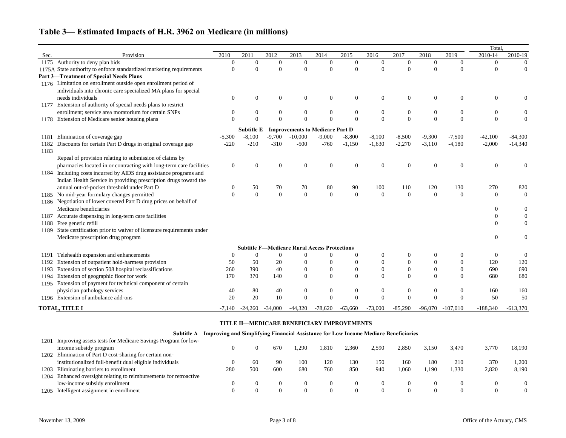|      |                                                                          |                  |                |                |                                                     |                  |                  |                  |                  |                  |                  | Total.         |                  |
|------|--------------------------------------------------------------------------|------------------|----------------|----------------|-----------------------------------------------------|------------------|------------------|------------------|------------------|------------------|------------------|----------------|------------------|
| Sec. | Provision                                                                | 2010             | 2011           | 2012           | 2013                                                | 2014             | 2015             | 2016             | 2017             | 2018             | 2019             | 2010-14        | 2010-19          |
|      | 1175 Authority to deny plan bids                                         | $\boldsymbol{0}$ | $\overline{0}$ | $\overline{0}$ | $\overline{0}$                                      | $\boldsymbol{0}$ | $\overline{0}$   | $\mathbf{0}$     | $\mathbf{0}$     | $\mathbf{0}$     | $\overline{0}$   | $\overline{0}$ | $\overline{0}$   |
|      | 1175A State authority to enforce standardized marketing requirements     | $\overline{0}$   | $\Omega$       | $\Omega$       | $\Omega$                                            | $\mathbf{0}$     | $\overline{0}$   | $\Omega$         | $\Omega$         | $\theta$         | $\Omega$         | $\theta$       | $\overline{0}$   |
|      | <b>Part 3-Treatment of Special Needs Plans</b>                           |                  |                |                |                                                     |                  |                  |                  |                  |                  |                  |                |                  |
|      | 1176 Limitation on enrollment outside open enrollment period of          |                  |                |                |                                                     |                  |                  |                  |                  |                  |                  |                |                  |
|      | individuals into chronic care specialized MA plans for special           |                  |                |                |                                                     |                  |                  |                  |                  |                  |                  |                |                  |
|      | needs individuals                                                        | $\theta$         | $\Omega$       | $\Omega$       | $\overline{0}$                                      | $\boldsymbol{0}$ | $\mathbf{0}$     | $\mathbf{0}$     | $\boldsymbol{0}$ | $\mathbf{0}$     | $\overline{0}$   | $\theta$       |                  |
|      | 1177 Extension of authority of special needs plans to restrict           |                  |                |                |                                                     |                  |                  |                  |                  |                  |                  |                |                  |
|      | enrollment; service area moratorium for certain SNPs                     | $\Omega$         | 0              | $\theta$       | $\overline{0}$                                      | $\boldsymbol{0}$ | $\overline{0}$   | $\mathbf{0}$     | $\mathbf{0}$     | $\overline{0}$   | $\overline{0}$   | $\overline{0}$ |                  |
|      | 1178 Extension of Medicare senior housing plans                          | $\Omega$         | $\Omega$       | $\Omega$       | $\Omega$                                            | $\overline{0}$   | $\overline{0}$   | $\mathbf{0}$     | $\overline{0}$   | $\overline{0}$   | $\overline{0}$   | $\Omega$       | $\Omega$         |
|      |                                                                          |                  |                |                | <b>Subtitle E-Improvements to Medicare Part D</b>   |                  |                  |                  |                  |                  |                  |                |                  |
| 1181 | Elimination of coverage gap                                              | $-5,300$         | $-8,100$       | $-9,700$       | $-10,000$                                           | $-9,000$         | $-8,800$         | $-8,100$         | $-8,500$         | $-9,300$         | $-7,500$         | $-42,100$      | $-84,300$        |
| 1182 | Discounts for certain Part D drugs in original coverage gap              | $-220$           | $-210$         | $-310$         | $-500$                                              | $-760$           | $-1,150$         | $-1,630$         | $-2,270$         | $-3,110$         | $-4,180$         | $-2,000$       | $-14,340$        |
| 1183 |                                                                          |                  |                |                |                                                     |                  |                  |                  |                  |                  |                  |                |                  |
|      | Repeal of provision relating to submission of claims by                  |                  |                |                |                                                     |                  |                  |                  |                  |                  |                  |                |                  |
|      | pharmacies located in or contracting with long-term care facilities      | $\overline{0}$   |                |                | $\overline{0}$                                      | $\overline{0}$   | $\boldsymbol{0}$ | $\theta$         | $\theta$         | $\theta$         | 0                | $\Omega$       |                  |
|      | 1184 Including costs incurred by AIDS drug assistance programs and       |                  |                |                |                                                     |                  |                  |                  |                  |                  |                  |                |                  |
|      | Indian Health Service in providing prescription drugs toward the         |                  |                |                |                                                     |                  |                  |                  |                  |                  |                  |                |                  |
|      | annual out-of-pocket threshold under Part D                              | $\overline{0}$   | 50             | 70             | 70                                                  | 80               | 90               | 100              | 110              | 120              | 130              | 270            | 820              |
|      | 1185 No mid-year formulary changes permitted                             | $\Omega$         | $\Omega$       | $\Omega$       | $\overline{0}$                                      | $\boldsymbol{0}$ | $\mathbf{0}$     | $\overline{0}$   | $\Omega$         | $\theta$         | $\Omega$         | $\Omega$       | $\Omega$         |
|      | 1186 Negotiation of lower covered Part D drug prices on behalf of        |                  |                |                |                                                     |                  |                  |                  |                  |                  |                  |                |                  |
|      | Medicare beneficiaries                                                   |                  |                |                |                                                     |                  |                  |                  |                  |                  |                  | $\Omega$       | $\boldsymbol{0}$ |
| 1187 | Accurate dispensing in long-term care facilities                         |                  |                |                |                                                     |                  |                  |                  |                  |                  |                  | $\Omega$       | $\boldsymbol{0}$ |
| 1188 | Free generic refill                                                      |                  |                |                |                                                     |                  |                  |                  |                  |                  |                  | $\Omega$       | $\overline{0}$   |
|      | 1189 State certification prior to waiver of licensure requirements under |                  |                |                |                                                     |                  |                  |                  |                  |                  |                  |                |                  |
|      | Medicare prescription drug program                                       |                  |                |                |                                                     |                  |                  |                  |                  |                  |                  | $\Omega$       | $\theta$         |
|      |                                                                          |                  |                |                | <b>Subtitle F-Medicare Rural Access Protections</b> |                  |                  |                  |                  |                  |                  |                |                  |
| 1191 | Telehealth expansion and enhancements                                    | $\Omega$         | $\mathbf{0}$   | $\mathbf{0}$   | $\overline{0}$                                      | $\theta$         | $\theta$         | $\boldsymbol{0}$ | $\overline{0}$   | $\boldsymbol{0}$ | $\overline{0}$   | $\overline{0}$ | $\theta$         |
| 1192 | Extension of outpatient hold-harmess provision                           | 50               | 50             | 20             | $\overline{0}$                                      | $\overline{0}$   | $\boldsymbol{0}$ | $\boldsymbol{0}$ | $\overline{0}$   | $\overline{0}$   | $\overline{0}$   | 120            | 120              |
| 1193 | Extension of section 508 hospital reclassifications                      | 260              | 390            | 40             | $\boldsymbol{0}$                                    | $\boldsymbol{0}$ | $\boldsymbol{0}$ | $\boldsymbol{0}$ | $\boldsymbol{0}$ | $\boldsymbol{0}$ | $\mathbf{0}$     | 690            | 690              |
| 1194 | Extension of geographic floor for work                                   | 170              | 370            | 140            | $\overline{0}$                                      | $\mathbf{0}$     | $\mathbf{0}$     | $\overline{0}$   | $\mathbf{0}$     | $\overline{0}$   | $\overline{0}$   | 680            | 680              |
|      | 1195 Extension of payment for technical component of certain             |                  |                |                |                                                     |                  |                  |                  |                  |                  |                  |                |                  |
|      | physician pathology services                                             | 40               | 80             | 40             | $\boldsymbol{0}$                                    | $\boldsymbol{0}$ | $\boldsymbol{0}$ | $\boldsymbol{0}$ | $\boldsymbol{0}$ | $\boldsymbol{0}$ | $\boldsymbol{0}$ | 160            | 160              |
|      | 1196 Extension of ambulance add-ons                                      | 20               | 20             | 10             | $\mathbf{0}$                                        | $\mathbf{0}$     | $\overline{0}$   | $\overline{0}$   | $\mathbf{0}$     | $\overline{0}$   | $\overline{0}$   | 50             | 50               |
|      | <b>TOTAL, TITLE I</b>                                                    | $-7.140$         | -24.260        | $-34,000$      | -44.320                                             | -78.620          | -63.660          | -73.000          | -85.290          | -96.070          | $-107.010$       | $-188,340$     | $-613.370$       |

#### **TITLE II—MEDICARE BENEFICIARY IMPROVEMENTS**

|      | Subtitle A—Improving and Simplifying Financial Assistance for Low Income Mediare Beneficiaries |     |     |     |      |              |          |       |       |       |       |          |          |
|------|------------------------------------------------------------------------------------------------|-----|-----|-----|------|--------------|----------|-------|-------|-------|-------|----------|----------|
| 1201 | Improving assets tests for Medicare Savings Program for low-                                   |     |     |     |      |              |          |       |       |       |       |          |          |
|      | income subsidy program                                                                         |     |     | 670 | .290 | l.810        | 2,360    | 2,590 | 2.850 | 3,150 | 3,470 | 3,770    | 18.190   |
| 1202 | Elimination of Part D cost-sharing for certain non-                                            |     |     |     |      |              |          |       |       |       |       |          |          |
|      | institutionalized full-benefit dual eligible individuals                                       |     | 60  | -90 | 100  | 120          | 130      | 150   | 160   | 180   | 210   | 370      | 1.200    |
| 1203 | Eliminating barriers to enrollment                                                             | 280 | 500 | 600 | 680  | 760          | 850      | 940   | 1,060 | l.190 | 1,330 | 2,820    | 8,190    |
| 1204 | Enhanced oversight relating to reimbursements for retroactive                                  |     |     |     |      |              |          |       |       |       |       |          |          |
|      | low-income subsidy enrollment                                                                  |     |     |     |      | 0            |          |       |       |       |       |          | $\Omega$ |
| 1205 | Intelligent assignment in enrollment                                                           |     |     |     |      | $\mathbf{0}$ | $\Omega$ |       |       |       |       | $\Omega$ | $\Omega$ |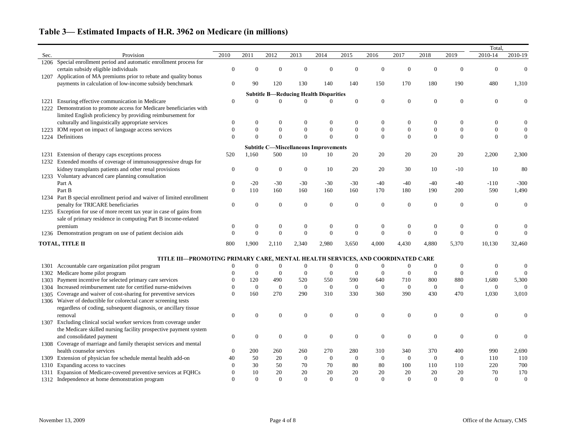|      |                                                                                |                  |                |                  |                                               |                  |                  |                  |                  |                  |                  | Total,           |                  |
|------|--------------------------------------------------------------------------------|------------------|----------------|------------------|-----------------------------------------------|------------------|------------------|------------------|------------------|------------------|------------------|------------------|------------------|
| Sec. | Provision                                                                      | 2010             | 2011           | 2012             | 2013                                          | 2014             | 2015             | 2016             | 2017             | 2018             | 2019             | 2010-14          | 2010-19          |
| 1206 | Special enrollment period and automatic enrollment process for                 |                  |                |                  |                                               |                  |                  |                  |                  |                  |                  |                  |                  |
|      | certain subsidy eligible individuals                                           | $\Omega$         |                |                  | $\Omega$                                      | $\theta$         | $\Omega$         | $\Omega$         | $\Omega$         | $\overline{0}$   | 0                | $\Omega$         |                  |
| 1207 | Application of MA premiums prior to rebate and quality bonus                   |                  |                |                  |                                               |                  |                  |                  |                  |                  |                  |                  |                  |
|      | payments in calculation of low-income subsidy benchmark                        | $\Omega$         | 90             | 120              | 130                                           | 140              | 140              | 150              | 170              | 180              | 190              | 480              | 1,310            |
|      |                                                                                |                  |                |                  | <b>Subtitle B-Reducing Health Disparities</b> |                  |                  |                  |                  |                  |                  |                  |                  |
| 1221 | Ensuring effective communication in Medicare                                   | $\mathbf{0}$     |                |                  | $\Omega$                                      | 0                | $\mathbf{0}$     | $\boldsymbol{0}$ | $\boldsymbol{0}$ | $\boldsymbol{0}$ | $\boldsymbol{0}$ | $\theta$         |                  |
|      | Demonstration to promote access for Medicare beneficiaries with                |                  |                |                  |                                               |                  |                  |                  |                  |                  |                  |                  |                  |
|      | limited English proficiency by providing reimbursement for                     |                  |                |                  |                                               |                  |                  |                  |                  |                  |                  |                  |                  |
|      | culturally and linguistically appropriate services                             |                  |                | $\theta$         | $\overline{0}$                                | $\theta$         | $\boldsymbol{0}$ | $\boldsymbol{0}$ | $\boldsymbol{0}$ | 0                | $\boldsymbol{0}$ |                  |                  |
| 1223 | IOM report on impact of language access services                               | $\theta$         | $\theta$       | $\overline{0}$   | $\mathbf{0}$                                  | $\boldsymbol{0}$ | $\boldsymbol{0}$ | $\boldsymbol{0}$ | $\boldsymbol{0}$ | $\boldsymbol{0}$ | $\boldsymbol{0}$ |                  |                  |
| 1224 | Definitions                                                                    | $\Omega$         | $\Omega$       | $\Omega$         | $\overline{0}$                                | $\overline{0}$   | $\mathbf{0}$     | $\mathbf{0}$     | $\mathbf{0}$     | $\boldsymbol{0}$ | $\boldsymbol{0}$ | $\Omega$         |                  |
|      |                                                                                |                  |                |                  |                                               |                  |                  |                  |                  |                  |                  |                  |                  |
|      |                                                                                |                  |                |                  | <b>Subtitle C-Miscellaneous Improvements</b>  |                  |                  |                  |                  |                  |                  |                  |                  |
| 1231 | Extension of therapy caps exceptions process                                   | 520              | 1,160          | 500              | 10                                            | 10               | 20               | 20               | 20               | 20               | 20               | 2,200            | 2,300            |
| 1232 | Extended months of coverage of immunosuppressive drugs for                     |                  |                |                  |                                               |                  |                  |                  |                  |                  |                  |                  |                  |
|      | kidney transplants patients and other renal provisions                         | $\theta$         | 0              | $\theta$         | $\mathbf{0}$                                  | 10               | 20               | 20               | 30               | 10               | $-10$            | 10               | 80               |
|      | 1233 Voluntary advanced care planning consultation                             |                  |                |                  |                                               |                  |                  |                  |                  |                  |                  |                  |                  |
|      | Part A                                                                         | $\Omega$         | $-20$          | $-30$            | $-30$                                         | $-30$            | $-30$            | $-40$            | $-40$            | $-40$            | $-40$            | $-110$           | $-300$           |
|      | Part B                                                                         | $\Omega$         | 110            | 160              | 160                                           | 160              | 160              | 170              | 180              | 190              | 200              | 590              | 1,490            |
| 1234 | Part B special enrollment period and waiver of limited enrollment              |                  |                |                  |                                               |                  |                  |                  |                  |                  |                  |                  |                  |
|      | penalty for TRICARE beneficiaries                                              | $\Omega$         | $\Omega$       | $\Omega$         | $\overline{0}$                                | $\boldsymbol{0}$ | $\boldsymbol{0}$ | $\overline{0}$   | $\boldsymbol{0}$ | $\boldsymbol{0}$ | $\boldsymbol{0}$ | $\overline{0}$   |                  |
|      | 1235 Exception for use of more recent tax year in case of gains from           |                  |                |                  |                                               |                  |                  |                  |                  |                  |                  |                  |                  |
|      | sale of primary residence in computing Part B income-related                   |                  |                |                  |                                               |                  |                  |                  |                  |                  |                  |                  |                  |
|      | premium                                                                        | $\theta$         |                | $\boldsymbol{0}$ | $\boldsymbol{0}$                              | $\boldsymbol{0}$ | $\boldsymbol{0}$ | $\boldsymbol{0}$ | $\boldsymbol{0}$ | $\boldsymbol{0}$ | $\boldsymbol{0}$ | $\boldsymbol{0}$ |                  |
|      | 1236 Demonstration program on use of patient decision aids                     | $\Omega$         | $\Omega$       | $\mathbf{0}$     | $\overline{0}$                                | $\boldsymbol{0}$ | $\boldsymbol{0}$ | $\theta$         | $\theta$         | $\Omega$         | $\Omega$         | $\Omega$         |                  |
|      | TOTAL, TITLE II                                                                | 800              | 1,900          | 2,110            | 2,340                                         | 2,980            | 3,650            | 4,000            | 4,430            | 4,880            | 5,370            | 10,130           | 32,460           |
|      | TITLE III-PROMOTING PRIMARY CARE, MENTAL HEALTH SERVICES, AND COORDINATED CARE |                  |                |                  |                                               |                  |                  |                  |                  |                  |                  |                  |                  |
| 1301 | Accountable care organization pilot program                                    |                  | 0              | $\theta$         | $\Omega$                                      | $\boldsymbol{0}$ | $\theta$         | $\overline{0}$   | $\overline{0}$   | $\overline{0}$   | $\theta$         | $\theta$         | $\theta$         |
| 1302 | Medicare home pilot program                                                    |                  | $\Omega$       | $\overline{0}$   | $\theta$                                      | $\theta$         | $\theta$         | $\Omega$         | $\overline{0}$   | $\overline{0}$   | $\theta$         | $\Omega$         | $\theta$         |
| 1303 | Payment incentive for selected primary care services                           |                  | 120            | 490              | 520                                           | 550              | 590              | 640              | 710              | 800              | 880              | 1,680            | 5,300            |
| 1304 | Increased reimbursement rate for certified nurse-midwives                      |                  | $\overline{0}$ | $\mathbf{0}$     | $\overline{0}$                                | $\boldsymbol{0}$ | $\boldsymbol{0}$ | $\overline{0}$   | $\boldsymbol{0}$ | $\boldsymbol{0}$ | $\boldsymbol{0}$ | $\overline{0}$   | $\Omega$         |
|      | 1305 Coverage and waiver of cost-sharing for preventive services               | $\Omega$         | 160            | 270              | 290                                           | 310              | 330              | 360              | 390              | 430              | 470              | 1,030            | 3,010            |
|      | 1306 Waiver of deductible for colorectal cancer screening tests                |                  |                |                  |                                               |                  |                  |                  |                  |                  |                  |                  |                  |
|      | regardless of coding, subsequent diagnosis, or ancillary tissue                |                  |                |                  |                                               |                  |                  |                  |                  |                  |                  |                  |                  |
|      | removal                                                                        | $\boldsymbol{0}$ | $\theta$       | $\boldsymbol{0}$ | $\boldsymbol{0}$                              | $\boldsymbol{0}$ | $\boldsymbol{0}$ | $\boldsymbol{0}$ | $\boldsymbol{0}$ | $\boldsymbol{0}$ | $\boldsymbol{0}$ | $\overline{0}$   |                  |
| 1307 | Excluding clinical social worker services from coverage under                  |                  |                |                  |                                               |                  |                  |                  |                  |                  |                  |                  |                  |
|      | the Medicare skilled nursing facility prospective payment system               |                  |                |                  |                                               |                  |                  |                  |                  |                  |                  |                  |                  |
|      | and consolidated payment                                                       | $\boldsymbol{0}$ | $\theta$       | $\overline{0}$   | $\mathbf{0}$                                  | $\boldsymbol{0}$ | $\boldsymbol{0}$ | $\boldsymbol{0}$ | $\boldsymbol{0}$ | $\boldsymbol{0}$ | $\boldsymbol{0}$ | $\overline{0}$   |                  |
|      | 1308 Coverage of marriage and family therapist services and mental             |                  |                |                  |                                               |                  |                  |                  |                  |                  |                  |                  |                  |
|      | health counselor services                                                      | $\theta$         | 200            | 260              | 260                                           | 270              | 280              | 310              | 340              | 370              | 400              | 990              | 2,690            |
| 1309 | Extension of physician fee schedule mental health add-on                       | 40               | 50             | 20               | $\overline{0}$                                | $\boldsymbol{0}$ | $\boldsymbol{0}$ | $\overline{0}$   | $\boldsymbol{0}$ | $\boldsymbol{0}$ | $\boldsymbol{0}$ | 110              | 110              |
| 1310 | Expanding access to vaccines                                                   | $\Omega$         | 30             | 50               | 70                                            | 70               | 80               | 80               | 100              | 110              | 110              | 220              | 700              |
| 1311 | Expansion of Medicare-covered preventive services at FQHCs                     |                  | 10             | 20               | 20                                            | 20               | 20               | $20\,$           | 20               | 20               | 20               | 70               | 170              |
| 1312 | Independence at home demonstration program                                     | $\Omega$         | $\overline{0}$ | $\overline{0}$   | $\mathbf{0}$                                  | $\boldsymbol{0}$ | $\mathbf{0}$     | $\mathbf{0}$     | $\boldsymbol{0}$ | $\boldsymbol{0}$ | $\boldsymbol{0}$ | $\overline{0}$   | $\boldsymbol{0}$ |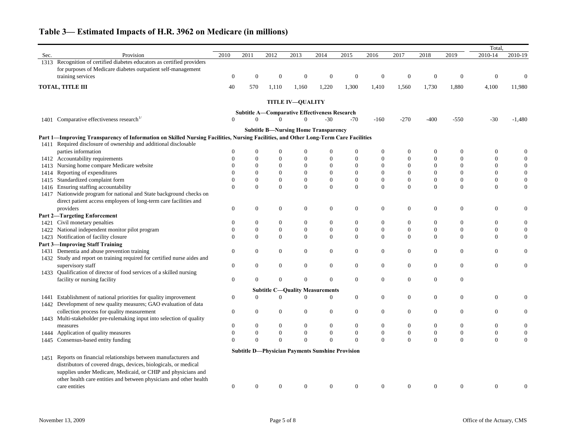|      |                                                                                                                                     |                  |                |                |                         |                                                      |                                                         |                  |                  |                  |                  | Total.           |                  |
|------|-------------------------------------------------------------------------------------------------------------------------------------|------------------|----------------|----------------|-------------------------|------------------------------------------------------|---------------------------------------------------------|------------------|------------------|------------------|------------------|------------------|------------------|
| Sec. | Provision                                                                                                                           | 2010             | 2011           | 2012           | 2013                    | 2014                                                 | 2015                                                    | 2016             | 2017             | 2018             | 2019             | $2010 - 14$      | 2010-19          |
| 1313 | Recognition of certified diabetes educators as certified providers                                                                  |                  |                |                |                         |                                                      |                                                         |                  |                  |                  |                  |                  |                  |
|      | for purposes of Medicare diabetes outpatient self-management                                                                        |                  |                |                |                         |                                                      |                                                         |                  |                  |                  |                  |                  |                  |
|      | training services                                                                                                                   | $\overline{0}$   | $\Omega$       | $\theta$       | $\theta$                | $\overline{0}$                                       | $\mathbf{0}$                                            | $\boldsymbol{0}$ | $\boldsymbol{0}$ | $\boldsymbol{0}$ | $\mathbf{0}$     | $\Omega$         |                  |
|      | TOTAL, TITLE III                                                                                                                    | 40               | 570            | 1,110          | 1,160                   | 1,220                                                | 1,300                                                   | 1,410            | 1,560            | 1,730            | 1,880            | 4,100            | 11,980           |
|      |                                                                                                                                     |                  |                |                | <b>TITLE IV-QUALITY</b> |                                                      |                                                         |                  |                  |                  |                  |                  |                  |
|      |                                                                                                                                     |                  |                |                |                         | <b>Subtitle A-Comparative Effectiveness Research</b> |                                                         |                  |                  |                  |                  |                  |                  |
| 1401 | Comparative effectiveness research                                                                                                  | $\Omega$         | $\Omega$       |                | $\Omega$                | $-30$                                                | $-70$                                                   | $-160$           | $-270$           | $-400$           | $-550$           | $-30$            | $-1,480$         |
|      |                                                                                                                                     |                  |                |                |                         | <b>Subtitle B-Nursing Home Transparency</b>          |                                                         |                  |                  |                  |                  |                  |                  |
|      | Part 1-Improving Transparency of Information on Skilled Nursing Facilities, Nursing Facilities, and Other Long-Term Care Facilities |                  |                |                |                         |                                                      |                                                         |                  |                  |                  |                  |                  |                  |
| 1411 | Required disclosure of ownership and additional disclosable                                                                         |                  |                |                |                         |                                                      |                                                         |                  |                  |                  |                  |                  |                  |
|      | parties information                                                                                                                 |                  | $\mathbf{0}$   |                | $\left($                | $\Omega$                                             | $\overline{0}$                                          | 0                | 0                | $\mathbf{0}$     | $\boldsymbol{0}$ | $\theta$         |                  |
|      | 1412 Accountability requirements                                                                                                    |                  | $\theta$       | $\theta$       | $\overline{0}$          | $\theta$                                             | 0                                                       | 0                | 0                | $\boldsymbol{0}$ | 0                | $\theta$         |                  |
| 1413 | Nursing home compare Medicare website                                                                                               |                  | $\Omega$       | $\theta$       | $\overline{0}$          | $\mathbf{0}$                                         | 0                                                       | $\overline{0}$   | $\mathbf{0}$     | $\mathbf{0}$     | $\mathbf{0}$     | $\theta$         |                  |
| 1414 | Reporting of expenditures                                                                                                           |                  |                | $\Omega$       | $\theta$                | $\Omega$                                             | $\overline{0}$                                          | $\mathbf{0}$     | $\theta$         | $\theta$         | $\theta$         | $\theta$         |                  |
| 1415 | Standardized complaint form                                                                                                         |                  | $\Omega$       | $\theta$       | $\mathbf{0}$            | $\boldsymbol{0}$                                     | $\boldsymbol{0}$                                        | $\boldsymbol{0}$ | $\boldsymbol{0}$ | $\boldsymbol{0}$ | $\boldsymbol{0}$ | $\boldsymbol{0}$ |                  |
| 1416 | Ensuring staffing accountability                                                                                                    | $\Omega$         | $\Omega$       | $\Omega$       | $\mathbf{0}$            | $\boldsymbol{0}$                                     | $\boldsymbol{0}$                                        | $\boldsymbol{0}$ | $\boldsymbol{0}$ | $\boldsymbol{0}$ | $\boldsymbol{0}$ | $\overline{0}$   | $\mathbf{0}$     |
|      | 1417 Nationwide program for national and State background checks on                                                                 |                  |                |                |                         |                                                      |                                                         |                  |                  |                  |                  |                  |                  |
|      | direct patient access employees of long-term care facilities and                                                                    |                  |                |                |                         |                                                      |                                                         |                  |                  |                  |                  |                  |                  |
|      |                                                                                                                                     |                  |                |                |                         |                                                      |                                                         |                  |                  |                  |                  |                  |                  |
|      | providers                                                                                                                           | $\boldsymbol{0}$ | $\overline{0}$ | $\overline{0}$ | $\overline{0}$          | $\boldsymbol{0}$                                     | $\mathbf{0}$                                            | $\boldsymbol{0}$ | $\boldsymbol{0}$ | $\mathbf{0}$     | $\boldsymbol{0}$ | $\overline{0}$   |                  |
|      | <b>Part 2-Targeting Enforcement</b>                                                                                                 |                  |                |                |                         |                                                      |                                                         |                  |                  |                  |                  |                  |                  |
| 1421 | Civil monetary penalties                                                                                                            | $\left($         | 0              | $\mathbf{0}$   | $\overline{0}$          | $\boldsymbol{0}$                                     | $\overline{0}$                                          | $\boldsymbol{0}$ | 0                | $\boldsymbol{0}$ | $\boldsymbol{0}$ | $\overline{0}$   | $\boldsymbol{0}$ |
|      | 1422 National independent monitor pilot program                                                                                     | $\Omega$         | $\overline{0}$ | $\overline{0}$ | $\overline{0}$          | $\boldsymbol{0}$                                     | $\overline{0}$                                          | $\boldsymbol{0}$ | 0                | $\boldsymbol{0}$ | $\boldsymbol{0}$ | $\overline{0}$   | $\boldsymbol{0}$ |
| 1423 | Notification of facility closure                                                                                                    | $\Omega$         | $\Omega$       | $\theta$       | $\theta$                | $\mathbf{0}$                                         | $\mathbf{0}$                                            | $\boldsymbol{0}$ | $\boldsymbol{0}$ | $\boldsymbol{0}$ | $\mathbf{0}$     | $\Omega$         | $\overline{0}$   |
|      | <b>Part 3-Improving Staff Training</b>                                                                                              |                  |                |                |                         |                                                      |                                                         |                  |                  |                  |                  |                  |                  |
| 1431 | Dementia and abuse prevention training                                                                                              | $\overline{0}$   | $\overline{0}$ | $\overline{0}$ | $\boldsymbol{0}$        | $\boldsymbol{0}$                                     | $\mathbf{0}$                                            | $\boldsymbol{0}$ | $\boldsymbol{0}$ | $\boldsymbol{0}$ | $\boldsymbol{0}$ | $\overline{0}$   | $\theta$         |
|      | 1432 Study and report on training required for certified nurse aides and                                                            |                  |                |                |                         |                                                      |                                                         |                  |                  |                  |                  |                  |                  |
|      | supervisory staff                                                                                                                   | $\overline{0}$   | $\Omega$       | $\theta$       | $\overline{0}$          | $\boldsymbol{0}$                                     | $\boldsymbol{0}$                                        | $\boldsymbol{0}$ | $\boldsymbol{0}$ | $\overline{0}$   | $\mathbf{0}$     | $\overline{0}$   | $\Omega$         |
|      | 1433 Qualification of director of food services of a skilled nursing                                                                |                  |                |                |                         |                                                      |                                                         |                  |                  |                  |                  |                  |                  |
|      | facility or nursing facility                                                                                                        | $\overline{0}$   | $\Omega$       | $\Omega$       | $\Omega$                | $\theta$                                             | $\overline{0}$                                          | $\boldsymbol{0}$ | $\boldsymbol{0}$ | $\boldsymbol{0}$ | $\boldsymbol{0}$ |                  |                  |
|      |                                                                                                                                     |                  |                |                |                         | <b>Subtitle C-Quality Measurements</b>               |                                                         |                  |                  |                  |                  |                  |                  |
|      | 1441 Establishment of national priorities for quality improvement                                                                   | $\mathbf{0}$     | $\overline{0}$ | $\theta$       | $\overline{0}$          | $\theta$                                             | $\boldsymbol{0}$                                        | $\boldsymbol{0}$ | $\boldsymbol{0}$ | $\theta$         | $\Omega$         | $\Omega$         |                  |
|      | 1442 Development of new quality measures; GAO evaluation of data                                                                    |                  |                |                |                         |                                                      |                                                         |                  |                  |                  |                  |                  |                  |
|      | collection process for quality measurement                                                                                          | $\overline{0}$   | $\overline{0}$ | $\overline{0}$ | $\overline{0}$          | $\boldsymbol{0}$                                     | $\overline{0}$                                          | $\overline{0}$   | $\mathbf{0}$     | $\mathbf{0}$     | $\boldsymbol{0}$ | $\mathbf{0}$     |                  |
|      | 1443 Multi-stakeholder pre-rulemaking input into selection of quality                                                               |                  |                |                |                         |                                                      |                                                         |                  |                  |                  |                  |                  |                  |
|      |                                                                                                                                     |                  |                |                |                         |                                                      |                                                         |                  |                  |                  |                  |                  |                  |
|      | measures                                                                                                                            | $\boldsymbol{0}$ |                | $\overline{0}$ | $\overline{0}$          | $\theta$                                             | $\boldsymbol{0}$                                        | $\boldsymbol{0}$ | $\overline{0}$   | $\boldsymbol{0}$ | $\boldsymbol{0}$ | $\overline{0}$   | $\overline{0}$   |
|      | 1444 Application of quality measures                                                                                                | $\Omega$         | $\Omega$       | $\theta$       | $\Omega$                | $\boldsymbol{0}$                                     | $\boldsymbol{0}$                                        | $\boldsymbol{0}$ | $\boldsymbol{0}$ | $\boldsymbol{0}$ | $\boldsymbol{0}$ | $\boldsymbol{0}$ |                  |
| 1445 | Consensus-based entity funding                                                                                                      | $\Omega$         | $\Omega$       | $\Omega$       | $\Omega$                | $\Omega$                                             | $\overline{0}$                                          | $\mathbf{0}$     | $\overline{0}$   | $\overline{0}$   | $\mathbf{0}$     | $\boldsymbol{0}$ | $\boldsymbol{0}$ |
|      |                                                                                                                                     |                  |                |                |                         |                                                      | <b>Subtitle D-Physician Payments Sunshine Provision</b> |                  |                  |                  |                  |                  |                  |
| 1451 | Reports on financial relationships between manufacturers and                                                                        |                  |                |                |                         |                                                      |                                                         |                  |                  |                  |                  |                  |                  |
|      | distributors of covered drugs, devices, biologicals, or medical                                                                     |                  |                |                |                         |                                                      |                                                         |                  |                  |                  |                  |                  |                  |
|      | supplies under Medicare, Medicaid, or CHIP and physicians and                                                                       |                  |                |                |                         |                                                      |                                                         |                  |                  |                  |                  |                  |                  |
|      | other health care entities and between physicians and other health                                                                  |                  |                |                |                         |                                                      |                                                         |                  |                  |                  |                  |                  |                  |
|      | care entities                                                                                                                       | $\overline{0}$   | $\Omega$       | $\overline{0}$ | $\overline{0}$          | $\boldsymbol{0}$                                     | $\overline{0}$                                          | $\mathbf{0}$     | $\mathbf{0}$     | $\mathbf{0}$     | $\boldsymbol{0}$ | $\overline{0}$   |                  |
|      |                                                                                                                                     |                  |                |                |                         |                                                      |                                                         |                  |                  |                  |                  |                  |                  |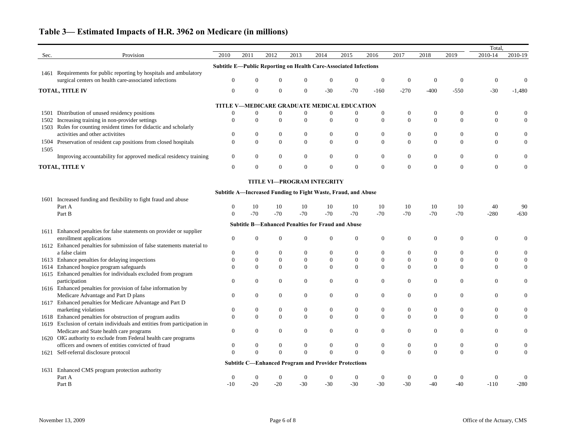|      |                                                                          |                |                  |                  |                                   |                  |                                                                  |                  |                  |                  |                  | Total            |                  |
|------|--------------------------------------------------------------------------|----------------|------------------|------------------|-----------------------------------|------------------|------------------------------------------------------------------|------------------|------------------|------------------|------------------|------------------|------------------|
| Sec. | Provision                                                                | 2010           | 2011             | 2012             | 2013                              | 2014             | 2015                                                             | 2016             | 2017             | 2018             | 2019             | 2010-14          | 2010-19          |
|      |                                                                          |                |                  |                  |                                   |                  | Subtitle E-Public Reporting on Health Care-Associated Infections |                  |                  |                  |                  |                  |                  |
| 1461 | Requirements for public reporting by hospitals and ambulatory            |                |                  |                  |                                   |                  |                                                                  |                  |                  |                  |                  |                  |                  |
|      | surgical centers on health care-associated infections                    | $\mathbf{0}$   |                  |                  |                                   | $\overline{0}$   | $\boldsymbol{0}$                                                 | $\boldsymbol{0}$ | $\boldsymbol{0}$ | $\boldsymbol{0}$ | $\boldsymbol{0}$ | $\overline{0}$   |                  |
|      | <b>TOTAL, TITLE IV</b>                                                   | $\mathbf{0}$   | $\mathbf{0}$     | $\overline{0}$   | $\overline{0}$                    | $-30$            | $-70$                                                            | $-160$           | $-270$           | $-400$           | $-550$           | $-30$            | $-1,480$         |
|      |                                                                          |                |                  |                  |                                   |                  |                                                                  |                  |                  |                  |                  |                  |                  |
|      |                                                                          |                |                  |                  |                                   |                  | TITLE V-MEDICARE GRADUATE MEDICAL EDUCATION                      |                  |                  |                  |                  |                  |                  |
|      | 1501 Distribution of unused residency positions                          | $\overline{0}$ | $\Omega$         | $\overline{0}$   | $\overline{0}$                    | $\boldsymbol{0}$ | $\boldsymbol{0}$                                                 | 0                | $\boldsymbol{0}$ | $\boldsymbol{0}$ | $\boldsymbol{0}$ | $\overline{0}$   | 0                |
| 1502 | Increasing training in non-provider settings                             | $\Omega$       | $\mathbf{0}$     | $\mathbf{0}$     | $\overline{0}$                    | $\boldsymbol{0}$ | $\boldsymbol{0}$                                                 | $\boldsymbol{0}$ | $\mathbf{0}$     | $\boldsymbol{0}$ | $\overline{0}$   | $\Omega$         | $\overline{0}$   |
|      | 1503 Rules for counting resident times for didactic and scholarly        |                |                  |                  |                                   |                  |                                                                  |                  |                  |                  |                  |                  |                  |
|      | activities and other activitites                                         | $\theta$       | $\mathbf{0}$     | $\overline{0}$   | $\overline{0}$                    | $\boldsymbol{0}$ | $\overline{0}$                                                   | $\overline{0}$   | $\boldsymbol{0}$ | $\overline{0}$   | $\overline{0}$   | $\overline{0}$   | $\overline{0}$   |
|      | 1504 Preservation of resident cap positions from closed hospitals        | $\mathbf{0}$   | $\boldsymbol{0}$ | $\overline{0}$   | $\overline{0}$                    | $\boldsymbol{0}$ | $\mathbf{0}$                                                     | $\boldsymbol{0}$ | $\boldsymbol{0}$ | $\boldsymbol{0}$ | $\boldsymbol{0}$ | $\overline{0}$   | $\overline{0}$   |
| 1505 |                                                                          |                |                  |                  |                                   |                  |                                                                  |                  |                  |                  |                  |                  |                  |
|      | Improving accountability for approved medical residency training         | $\overline{0}$ | $\boldsymbol{0}$ | $\mathbf{0}$     | $\overline{0}$                    | $\mathbf{0}$     | $\boldsymbol{0}$                                                 | $\boldsymbol{0}$ | $\boldsymbol{0}$ | $\boldsymbol{0}$ | $\boldsymbol{0}$ | $\mathbf{0}$     | $\overline{0}$   |
|      | <b>TOTAL, TITLE V</b>                                                    | $\overline{0}$ | $\boldsymbol{0}$ | $\overline{0}$   | $\boldsymbol{0}$                  | $\boldsymbol{0}$ | $\mathbf{0}$                                                     | $\mathbf{0}$     | $\boldsymbol{0}$ | $\boldsymbol{0}$ | $\boldsymbol{0}$ | $\overline{0}$   | $\overline{0}$   |
|      |                                                                          |                |                  |                  | <b>TITLE VI-PROGRAM INTEGRITY</b> |                  |                                                                  |                  |                  |                  |                  |                  |                  |
|      |                                                                          |                |                  |                  |                                   |                  | Subtitle A-Increased Funding to Fight Waste, Fraud, and Abuse    |                  |                  |                  |                  |                  |                  |
| 1601 | Increased funding and flexibility to fight fraud and abuse               |                |                  |                  |                                   |                  |                                                                  |                  |                  |                  |                  |                  |                  |
|      | Part A                                                                   | 0              | 10               | 10               | 10                                | 10               | 10                                                               | 10               | 10               | 10               | 10               | 40               | 90               |
|      | Part B                                                                   | $\theta$       | $-70$            | $-70$            | $-70$                             | $-70$            | $-70$                                                            | $-70$            | $-70$            | $-70$            | $-70$            | $-280$           | $-630$           |
|      |                                                                          |                |                  |                  |                                   |                  | <b>Subtitle B-Enhanced Penalties for Fraud and Abuse</b>         |                  |                  |                  |                  |                  |                  |
|      | 1611 Enhanced penalties for false statements on provider or supplier     |                |                  |                  |                                   |                  |                                                                  |                  |                  |                  |                  |                  |                  |
|      | enrollment applications                                                  | $\overline{0}$ | $\mathbf{0}$     | $\overline{0}$   | $\overline{0}$                    | $\boldsymbol{0}$ | $\boldsymbol{0}$                                                 | $\boldsymbol{0}$ | $\boldsymbol{0}$ | $\boldsymbol{0}$ | $\boldsymbol{0}$ | $\overline{0}$   | $\overline{0}$   |
|      | 1612 Enhanced penalties for submission of false statements material to   |                |                  |                  |                                   |                  |                                                                  |                  |                  |                  |                  |                  |                  |
|      | a false claim                                                            | $\mathbf{0}$   | $\bf{0}$         | $\boldsymbol{0}$ | $\overline{0}$                    | $\boldsymbol{0}$ | $\boldsymbol{0}$                                                 | 0                | $\boldsymbol{0}$ | 0                | $\boldsymbol{0}$ | $\overline{0}$   | 0                |
|      | 1613 Enhance penalties for delaying inspections                          | $\overline{0}$ | $\boldsymbol{0}$ | $\boldsymbol{0}$ | $\boldsymbol{0}$                  | $\boldsymbol{0}$ | $\boldsymbol{0}$                                                 | $\boldsymbol{0}$ | $\boldsymbol{0}$ | $\boldsymbol{0}$ | $\boldsymbol{0}$ | $\overline{0}$   | 0                |
| 1614 | Enhanced hospice program safeguards                                      | $\Omega$       | $\overline{0}$   | $\theta$         | $\overline{0}$                    | $\overline{0}$   | $\overline{0}$                                                   | $\overline{0}$   | $\overline{0}$   | $\overline{0}$   | $\overline{0}$   | $\Omega$         | $\overline{0}$   |
|      | 1615 Enhanced penalties for individuals excluded from program            |                |                  |                  |                                   |                  |                                                                  |                  |                  |                  |                  |                  |                  |
|      | participation                                                            | $\Omega$       | $\Omega$         | $\overline{0}$   | $\overline{0}$                    | $\boldsymbol{0}$ | $\boldsymbol{0}$                                                 | $\overline{0}$   | $\boldsymbol{0}$ | $\boldsymbol{0}$ | $\overline{0}$   | $\overline{0}$   | $\overline{0}$   |
|      | 1616 Enhanced penalties for provision of false information by            |                |                  |                  |                                   |                  |                                                                  |                  |                  |                  |                  |                  |                  |
|      | Medicare Advantage and Part D plans                                      | $\Omega$       | $\mathbf{0}$     | $\overline{0}$   | $\overline{0}$                    | $\boldsymbol{0}$ | $\boldsymbol{0}$                                                 | $\boldsymbol{0}$ | $\boldsymbol{0}$ | $\boldsymbol{0}$ | $\boldsymbol{0}$ | $\overline{0}$   | $\boldsymbol{0}$ |
|      | 1617 Enhanced penalties for Medicare Advantage and Part D                |                |                  |                  |                                   |                  |                                                                  |                  |                  |                  |                  |                  |                  |
|      | marketing violations                                                     | $\Omega$       |                  |                  |                                   | $\overline{0}$   | $\boldsymbol{0}$                                                 | 0                | $\boldsymbol{0}$ | $\boldsymbol{0}$ | $\theta$         | $\theta$         |                  |
|      | 1618 Enhanced penalties for obstruction of program audits                | $\Omega$       | $\boldsymbol{0}$ | $\mathbf{0}$     | $\overline{0}$                    | $\boldsymbol{0}$ | $\mathbf{0}$                                                     | $\mathbf{0}$     | $\boldsymbol{0}$ | $\boldsymbol{0}$ | $\overline{0}$   | $\theta$         | $\theta$         |
|      | 1619 Exclusion of certain individuals and entities from participation in |                |                  |                  |                                   |                  |                                                                  |                  |                  |                  |                  |                  |                  |
|      | Medicare and State health care programs                                  | $\mathbf{0}$   | $\boldsymbol{0}$ | $\mathbf{0}$     | $\overline{0}$                    | $\boldsymbol{0}$ | $\boldsymbol{0}$                                                 | $\boldsymbol{0}$ | $\boldsymbol{0}$ | $\boldsymbol{0}$ | $\boldsymbol{0}$ | $\overline{0}$   | 0                |
|      | 1620 OIG authority to exclude from Federal health care programs          |                |                  |                  |                                   |                  |                                                                  |                  |                  |                  |                  |                  |                  |
|      | officers and owners of entities convicted of fraud                       | $\theta$       |                  | $\boldsymbol{0}$ | $\boldsymbol{0}$                  | $\boldsymbol{0}$ | $\boldsymbol{0}$                                                 | $\boldsymbol{0}$ | $\boldsymbol{0}$ | $\boldsymbol{0}$ | $\boldsymbol{0}$ | $\boldsymbol{0}$ | 0                |
|      | 1621 Self-referral disclosure protocol                                   | $\Omega$       | $\Omega$         | $\Omega$         | $\Omega$                          | $\boldsymbol{0}$ | $\overline{0}$                                                   | $\overline{0}$   | $\boldsymbol{0}$ | $\boldsymbol{0}$ | $\boldsymbol{0}$ | $\overline{0}$   | $\overline{0}$   |
|      |                                                                          |                |                  |                  |                                   |                  | <b>Subtitle C-Enhanced Program and Provider Protections</b>      |                  |                  |                  |                  |                  |                  |
| 1631 | Enhanced CMS program protection authority                                |                |                  |                  |                                   |                  |                                                                  |                  |                  |                  |                  |                  |                  |
|      | Part A                                                                   |                |                  |                  |                                   | $\boldsymbol{0}$ | $\boldsymbol{0}$                                                 | $\boldsymbol{0}$ | $\boldsymbol{0}$ | $\boldsymbol{0}$ | $\boldsymbol{0}$ | $\overline{0}$   |                  |
|      | Part B                                                                   | $-10$          | $-20$            | $-20$            | $-30$                             | $-30$            | $-30$                                                            | $-30$            | $-30$            | $-40$            | $-40$            | $-110$           | $-280$           |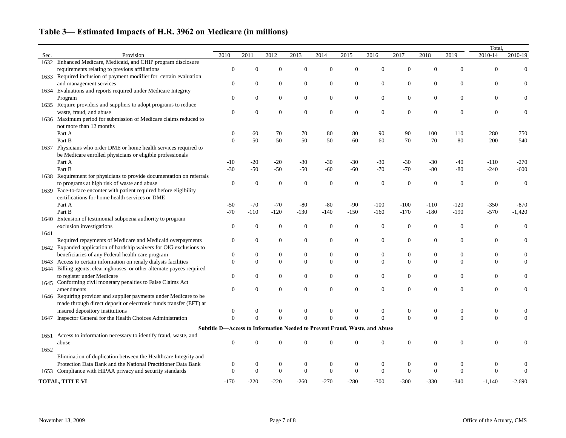|      |                                                                                                                  |                  |                |                  |                  |                  |                  |                                                                            |                  |                  |                  | Total,           |                  |
|------|------------------------------------------------------------------------------------------------------------------|------------------|----------------|------------------|------------------|------------------|------------------|----------------------------------------------------------------------------|------------------|------------------|------------------|------------------|------------------|
| Sec. | Provision                                                                                                        | 2010             | 2011           | 2012             | 2013             | 2014             | 2015             | 2016                                                                       | 2017             | 2018             | 2019             | 2010-14          | 2010-19          |
| 1632 | Enhanced Medicare, Medicaid, and CHIP program disclosure                                                         |                  |                |                  |                  |                  |                  |                                                                            |                  |                  |                  |                  |                  |
|      | requirements relating to previous affiliations                                                                   | $\mathbf{0}$     | 0              | $\mathbf{0}$     | $\overline{0}$   | $\boldsymbol{0}$ | $\overline{0}$   | $\overline{0}$                                                             | $\mathbf{0}$     | $\theta$         | $\Omega$         | $\theta$         | 0                |
|      | 1633 Required inclusion of payment modifier for certain evaluation                                               |                  |                |                  |                  |                  |                  |                                                                            |                  |                  |                  |                  |                  |
|      | and management services                                                                                          | $\boldsymbol{0}$ | $\overline{0}$ | $\boldsymbol{0}$ | $\boldsymbol{0}$ | $\boldsymbol{0}$ | $\boldsymbol{0}$ | $\boldsymbol{0}$                                                           | $\boldsymbol{0}$ | $\boldsymbol{0}$ | $\boldsymbol{0}$ | $\boldsymbol{0}$ |                  |
|      | 1634 Evaluations and reports required under Medicare Integrity                                                   |                  |                |                  |                  |                  |                  |                                                                            |                  |                  |                  |                  |                  |
|      | Program                                                                                                          | $\boldsymbol{0}$ | $\overline{0}$ | $\boldsymbol{0}$ | $\boldsymbol{0}$ | $\boldsymbol{0}$ | $\boldsymbol{0}$ | $\boldsymbol{0}$                                                           | $\boldsymbol{0}$ | $\boldsymbol{0}$ | $\boldsymbol{0}$ | $\overline{0}$   |                  |
| 1635 | Require providers and suppliers to adopt programs to reduce                                                      |                  |                |                  |                  |                  |                  |                                                                            |                  |                  |                  |                  |                  |
|      | waste, fraud, and abuse                                                                                          | $\mathbf{0}$     | 0              | $\overline{0}$   | $\boldsymbol{0}$ | $\boldsymbol{0}$ | $\boldsymbol{0}$ | $\boldsymbol{0}$                                                           | $\boldsymbol{0}$ | $\boldsymbol{0}$ | $\theta$         | $\overline{0}$   |                  |
|      | 1636 Maximum period for submission of Medicare claims reduced to                                                 |                  |                |                  |                  |                  |                  |                                                                            |                  |                  |                  |                  |                  |
|      | not more than 12 months                                                                                          |                  |                |                  |                  |                  |                  |                                                                            |                  |                  |                  |                  |                  |
|      | Part A                                                                                                           | $\theta$         | 60             | 70               | 70               | 80               | 80               | 90                                                                         | 90               | 100              | 110              | 280              | 750              |
|      | Part B                                                                                                           | $\Omega$         | 50             | 50               | 50               | 50               | 60               | 60                                                                         | 70               | 70               | 80               | 200              | 540              |
| 1637 | Physicians who order DME or home health services required to                                                     |                  |                |                  |                  |                  |                  |                                                                            |                  |                  |                  |                  |                  |
|      | be Medicare enrolled physicians or eligible professionals                                                        |                  |                |                  |                  |                  |                  |                                                                            |                  |                  |                  |                  |                  |
|      | Part A                                                                                                           | $-10$            | $-20$          | $-20$            | $-30$            | $-30$            | $-30$            | $-30$                                                                      | $-30$            | $-30$            | $-40$            | $-110$           | $-270$           |
|      | Part B                                                                                                           | $-30$            | $-50$          | $-50$            | $-50$            | $-60$            | $-60$            | $-70$                                                                      | $-70$            | $-80$            | $-80$            | $-240$           | $-600$           |
|      | Requirement for physicians to provide documentation on referrals                                                 |                  |                |                  |                  |                  |                  |                                                                            |                  |                  |                  |                  |                  |
| 1638 |                                                                                                                  | $\boldsymbol{0}$ |                | $\overline{0}$   | $\boldsymbol{0}$ | $\boldsymbol{0}$ | $\boldsymbol{0}$ | $\boldsymbol{0}$                                                           | $\boldsymbol{0}$ | $\boldsymbol{0}$ | $\boldsymbol{0}$ |                  | $\Omega$         |
|      | to programs at high risk of waste and abuse                                                                      |                  | $\theta$       |                  |                  |                  |                  |                                                                            |                  |                  |                  | $\mathbf{0}$     |                  |
| 1639 | Face-to-face enconter with patient required before eligibility<br>certifications for home health services or DME |                  |                |                  |                  |                  |                  |                                                                            |                  |                  |                  |                  |                  |
|      |                                                                                                                  |                  |                |                  |                  |                  |                  |                                                                            |                  |                  |                  |                  |                  |
|      | Part A                                                                                                           | $-50$            | $-70$          | $-70$            | $-80$            | $-80$            | $-90$            | $-100$                                                                     | $-100$           | $-110$           | $-120$           | $-350$           | $-870$           |
|      | Part B                                                                                                           | $-70$            | $-110$         | $-120$           | $-130$           | $-140$           | $-150$           | $-160$                                                                     | $-170$           | $-180$           | $-190$           | $-570$           | $-1,420$         |
| 1640 | Extension of testimonial subpoena authority to program                                                           |                  |                |                  |                  |                  |                  |                                                                            |                  |                  |                  |                  |                  |
|      | exclusion investigations                                                                                         | $\mathbf{0}$     | $\theta$       | $\overline{0}$   | $\mathbf{0}$     | $\mathbf{0}$     | $\boldsymbol{0}$ | $\boldsymbol{0}$                                                           | $\boldsymbol{0}$ | $\boldsymbol{0}$ | $\mathbf{0}$     | $\overline{0}$   | $\boldsymbol{0}$ |
| 1641 |                                                                                                                  |                  |                |                  |                  |                  |                  |                                                                            |                  |                  |                  |                  |                  |
|      | Required repayments of Medicare and Medicaid overpayments                                                        | $\boldsymbol{0}$ | $\overline{0}$ | $\boldsymbol{0}$ | $\boldsymbol{0}$ | $\boldsymbol{0}$ | $\boldsymbol{0}$ | $\boldsymbol{0}$                                                           | $\boldsymbol{0}$ | $\boldsymbol{0}$ | $\boldsymbol{0}$ | $\overline{0}$   | 0                |
|      | 1642 Expanded application of hardship waivers for OIG exclusions to                                              |                  |                |                  |                  |                  |                  |                                                                            |                  |                  |                  |                  |                  |
|      | beneficiaries of any Federal health care program                                                                 | $\boldsymbol{0}$ | $\overline{0}$ | $\mathbf{0}$     | $\boldsymbol{0}$ | $\boldsymbol{0}$ | $\boldsymbol{0}$ | $\boldsymbol{0}$                                                           | $\boldsymbol{0}$ | $\boldsymbol{0}$ | $\boldsymbol{0}$ | $\boldsymbol{0}$ | 0                |
| 1643 | Access to certain information on renaly dialysis facilities                                                      | $\Omega$         | $\Omega$       | $\mathbf{0}$     | $\boldsymbol{0}$ | $\overline{0}$   | $\mathbf{0}$     | $\mathbf{0}$                                                               | $\mathbf{0}$     | $\mathbf{0}$     | $\boldsymbol{0}$ | $\overline{0}$   | $\boldsymbol{0}$ |
| 1644 | Billing agents, clearinghouses, or other alternate payees required                                               |                  |                |                  |                  |                  |                  |                                                                            |                  |                  |                  |                  |                  |
|      | to register under Medicare                                                                                       | $\mathbf{0}$     | $\overline{0}$ | $\boldsymbol{0}$ | $\boldsymbol{0}$ | $\boldsymbol{0}$ | $\boldsymbol{0}$ | $\boldsymbol{0}$                                                           | $\boldsymbol{0}$ | $\boldsymbol{0}$ | $\boldsymbol{0}$ | $\overline{0}$   | $\theta$         |
|      | 1645 Conforming civil monetary penalties to False Claims Act                                                     |                  |                |                  |                  |                  |                  |                                                                            |                  |                  |                  |                  |                  |
|      | amendments                                                                                                       | $\Omega$         |                |                  | $\theta$         | $\mathbf{0}$     | $\overline{0}$   | $\overline{0}$                                                             | $\overline{0}$   | $\Omega$         | $\Omega$         | $\theta$         | $\Omega$         |
|      | 1646 Requiring provider and supplier payments under Medicare to be                                               |                  |                |                  |                  |                  |                  |                                                                            |                  |                  |                  |                  |                  |
|      | made through direct deposit or electronic funds transfer (EFT) at                                                |                  |                |                  |                  |                  |                  |                                                                            |                  |                  |                  |                  |                  |
|      | insured depository institutions                                                                                  | $\theta$         |                | $\overline{0}$   | $\boldsymbol{0}$ | $\boldsymbol{0}$ | $\boldsymbol{0}$ | $\boldsymbol{0}$                                                           | $\boldsymbol{0}$ | $\boldsymbol{0}$ | $\boldsymbol{0}$ | $\boldsymbol{0}$ | 0                |
| 1647 | Inspector General for the Health Choices Administration                                                          | $\Omega$         | $\mathbf{0}$   | $\theta$         | $\mathbf{0}$     | $\mathbf{0}$     | $\boldsymbol{0}$ | $\boldsymbol{0}$                                                           | $\mathbf{0}$     | $\mathbf{0}$     | $\mathbf{0}$     | $\boldsymbol{0}$ | 0                |
|      |                                                                                                                  |                  |                |                  |                  |                  |                  | Subtitle D-Access to Information Needed to Prevent Fraud, Waste, and Abuse |                  |                  |                  |                  |                  |
| 1651 | Access to information necessary to identify fraud, waste, and                                                    |                  |                |                  |                  |                  |                  |                                                                            |                  |                  |                  |                  |                  |
|      | abuse                                                                                                            | $\boldsymbol{0}$ | 0              |                  | $\theta$         | $\boldsymbol{0}$ | $\boldsymbol{0}$ | $\mathbf{0}$                                                               | $\boldsymbol{0}$ | $\boldsymbol{0}$ | $\mathbf{0}$     | $\boldsymbol{0}$ |                  |
| 1652 |                                                                                                                  |                  |                |                  |                  |                  |                  |                                                                            |                  |                  |                  |                  |                  |
|      | Elimination of duplication between the Healthcare Integrity and                                                  |                  |                |                  |                  |                  |                  |                                                                            |                  |                  |                  |                  |                  |
|      | Protection Data Bank and the National Practitioner Data Bank                                                     | $\theta$         | $\theta$       | $\overline{0}$   | $\boldsymbol{0}$ | $\boldsymbol{0}$ | $\boldsymbol{0}$ | $\boldsymbol{0}$                                                           | $\boldsymbol{0}$ | $\overline{0}$   | $\overline{0}$   | $\boldsymbol{0}$ | $\left($         |
| 1653 | Compliance with HIPAA privacy and security standards                                                             | $\theta$         | $\overline{0}$ | $\overline{0}$   | $\boldsymbol{0}$ | $\boldsymbol{0}$ | $\boldsymbol{0}$ | $\boldsymbol{0}$                                                           | $\boldsymbol{0}$ | $\boldsymbol{0}$ | $\mathbf{0}$     | $\mathbf{0}$     | $\theta$         |
|      |                                                                                                                  |                  |                |                  |                  |                  |                  |                                                                            |                  |                  |                  |                  |                  |
|      | TOTAL, TITLE VI                                                                                                  |                  | $-220$         | $-220$           | $-260$           | $-270$           | $-280$           | $-300$                                                                     | $-300$           | $-330$           | $-340$           | $-1,140$         | $-2,690$         |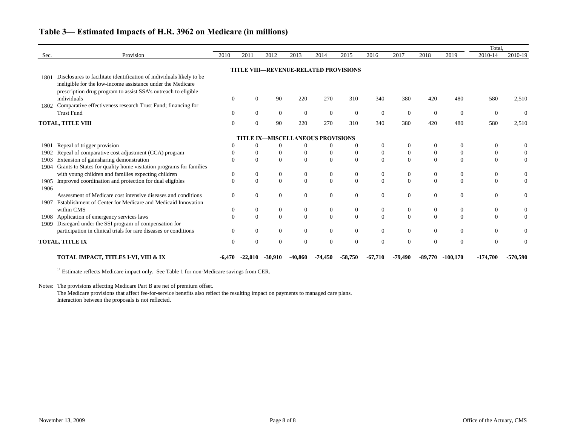|              |                                                                                                                                                                                                       |                |              |                  |                                   |                  |                                              |                  |                  |                  |                  | Total.           |          |
|--------------|-------------------------------------------------------------------------------------------------------------------------------------------------------------------------------------------------------|----------------|--------------|------------------|-----------------------------------|------------------|----------------------------------------------|------------------|------------------|------------------|------------------|------------------|----------|
| Sec.         | Provision                                                                                                                                                                                             | 2010           | 2011         | 2012             | 2013                              | 2014             | 2015                                         | 2016             | 2017             | 2018             | 2019             | 2010-14          | 2010-19  |
|              |                                                                                                                                                                                                       |                |              |                  |                                   |                  | <b>TITLE VIII-REVENUE-RELATED PROVISIONS</b> |                  |                  |                  |                  |                  |          |
| 1801         | Disclosures to facilitate identification of individuals likely to be<br>ineligible for the low-income assistance under the Medicare<br>prescription drug program to assist SSA's outreach to eligible |                |              |                  |                                   |                  |                                              |                  |                  |                  |                  |                  |          |
| 1802         | individuals<br>Comparative effectiveness research Trust Fund; financing for                                                                                                                           | $\Omega$       | $\Omega$     | 90               | 220                               | 270              | 310                                          | 340              | 380              | 420              | 480              | 580              | 2,510    |
|              | <b>Trust Fund</b>                                                                                                                                                                                     | $\Omega$       | $\Omega$     | $\overline{0}$   | $\overline{0}$                    | $\overline{0}$   | $\boldsymbol{0}$                             | $\mathbf{0}$     | $\overline{0}$   | $\overline{0}$   | $\overline{0}$   | $\theta$         | $\Omega$ |
|              | <b>TOTAL, TITLE VIII</b>                                                                                                                                                                              | $\Omega$       | $\Omega$     | 90               | 220                               | 270              | 310                                          | 340              | 380              | 420              | 480              | 580              | 2,510    |
|              |                                                                                                                                                                                                       |                |              |                  | TITLE IX-MISCELLANEOUS PROVISIONS |                  |                                              |                  |                  |                  |                  |                  |          |
| 1901         | Repeal of trigger provision                                                                                                                                                                           |                | $\theta$     | $\Omega$         | $\Omega$                          | $\overline{0}$   | $\Omega$                                     | $\mathbf{0}$     | $\mathbf{0}$     | $\theta$         |                  | $\Omega$         |          |
| 1902         | Repeal of comparative cost adjustment (CCA) program                                                                                                                                                   |                | $\theta$     | $\overline{0}$   | $\boldsymbol{0}$                  | $\overline{0}$   | $\overline{0}$                               | $\boldsymbol{0}$ | $\boldsymbol{0}$ | $\boldsymbol{0}$ | $\theta$         | $\Omega$         |          |
| 1903<br>1904 | Extension of gainsharing demonstration<br>Grants to States for quality home visitation programs for families                                                                                          | $\Omega$       | $\Omega$     | $\Omega$         | $\overline{0}$                    | $\overline{0}$   | $\mathbf{0}$                                 | $\Omega$         | $\mathbf{0}$     | $\overline{0}$   | $\Omega$         | $\Omega$         | $\Omega$ |
|              | with young children and families expecting children                                                                                                                                                   | $\overline{0}$ | $\mathbf{0}$ | $\mathbf{0}$     | $\boldsymbol{0}$                  | $\boldsymbol{0}$ | $\boldsymbol{0}$                             | $\boldsymbol{0}$ | $\boldsymbol{0}$ | $\boldsymbol{0}$ | $\boldsymbol{0}$ | $\boldsymbol{0}$ |          |
| 1905<br>1906 | Improved coordination and protection for dual eligibles                                                                                                                                               | $\Omega$       | $\Omega$     | $\Omega$         | $\mathbf{0}$                      | $\overline{0}$   | $\mathbf{0}$                                 | $\mathbf{0}$     | $\mathbf{0}$     | $\Omega$         | $\Omega$         | $\Omega$         | $\Omega$ |
| 1907         | Assessment of Medicare cost intensive diseases and conditions<br>Establishment of Center for Medicare and Medicaid Innovation                                                                         | $\Omega$       | $\Omega$     | $\Omega$         | $\mathbf{0}$                      | $\boldsymbol{0}$ | $\boldsymbol{0}$                             | $\mathbf{0}$     | $\Omega$         | $\Omega$         | $\Omega$         | $\Omega$         | $\Omega$ |
|              | within CMS                                                                                                                                                                                            | $\Omega$       | $\mathbf{0}$ | $\overline{0}$   | $\boldsymbol{0}$                  | $\boldsymbol{0}$ | $\boldsymbol{0}$                             | $\boldsymbol{0}$ | $\boldsymbol{0}$ | $\boldsymbol{0}$ | $\mathbf{0}$     | $\boldsymbol{0}$ | $\Omega$ |
| 1908<br>1909 | Application of emergency services laws<br>Disregard under the SSI program of compensation for                                                                                                         | $\Omega$       | $\Omega$     | $\boldsymbol{0}$ | $\mathbf{0}$                      | $\boldsymbol{0}$ | $\overline{0}$                               | $\mathbf{0}$     | $\boldsymbol{0}$ | $\mathbf{0}$     | $\Omega$         | $\Omega$         | $\Omega$ |
|              | participation in clinical trials for rare diseases or conditions                                                                                                                                      | $\Omega$       | $\Omega$     | $\theta$         | $\overline{0}$                    | $\overline{0}$   | $\mathbf{0}$                                 | $\mathbf{0}$     | $\mathbf{0}$     | $\Omega$         | $\Omega$         | $\Omega$         |          |
|              | TOTAL, TITLE IX                                                                                                                                                                                       | $\Omega$       | $\Omega$     | $\theta$         | $\Omega$                          | $\overline{0}$   | $\overline{0}$                               | $\mathbf{0}$     | $\Omega$         | $\Omega$         | $\Omega$         | $\Omega$         | $\Omega$ |
|              | TOTAL IMPACT, TITLES I-VI, VIII & IX                                                                                                                                                                  |                |              |                  |                                   |                  | -58,750                                      | $-67.710$        | -79,490          | -89.770          | $-100.170$       | $-174,700$       | -570,590 |

 $1/$  Estimate reflects Medicare impact only. See Table 1 for non-Medicare savings from CER.

Notes: The provisions affecting Medicare Part B are net of premium offset.

The Medicare provisions that affect fee-for-service benefits also reflect the resulting impact on payments to managed care plans. Interaction between the proposals is not reflected.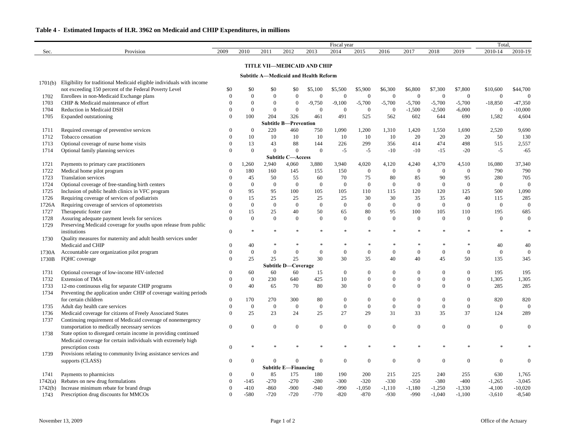|         |                                                                       | Fiscal year      |                  |                                       |                              |                  |                  |                  |                  |                  |                  |                  | Total.           |                  |  |
|---------|-----------------------------------------------------------------------|------------------|------------------|---------------------------------------|------------------------------|------------------|------------------|------------------|------------------|------------------|------------------|------------------|------------------|------------------|--|
| Sec.    | Provision                                                             | 2009             | 2010             | 2011                                  | 2012                         | 2013             | 2014             | 2015             | 2016             | 2017             | 2018             | 2019             | 2010-14          | 2010-19          |  |
|         |                                                                       |                  |                  | <b>TITLE VII-MEDICAID AND CHIP</b>    |                              |                  |                  |                  |                  |                  |                  |                  |                  |                  |  |
|         |                                                                       |                  |                  |                                       |                              |                  |                  |                  |                  |                  |                  |                  |                  |                  |  |
| 1701(b) | Eligibility for traditional Medicaid eligible individuals with income |                  |                  | Subtitle A—Medicaid and Health Reform |                              |                  |                  |                  |                  |                  |                  |                  |                  |                  |  |
|         | not exceeding 150 percent of the Federal Poverty Level                | \$0              | \$0              | \$0                                   | \$0                          | \$5,100          | \$5,500          | \$5,900          | \$6,300          | \$6,800          | \$7,300          | \$7,800          | \$10,600         | \$44,700         |  |
| 1702    | Enrollees in non-Medicaid Exchange plans                              | $\Omega$         | $\boldsymbol{0}$ | $\boldsymbol{0}$                      | $\boldsymbol{0}$             | $\overline{0}$   | $\overline{0}$   | $\boldsymbol{0}$ | $\boldsymbol{0}$ | $\overline{0}$   | $\boldsymbol{0}$ | $\overline{0}$   | $\boldsymbol{0}$ | $\mathbf{0}$     |  |
| 1703    | CHIP & Medicaid maintenance of effort                                 |                  | $\boldsymbol{0}$ | $\overline{0}$                        | $\boldsymbol{0}$             | $-9,750$         | $-9,100$         | $-5,700$         | $-5,700$         | $-5,700$         | $-5,700$         | $-5,700$         | $-18,850$        | $-47,350$        |  |
| 1704    | Reduction in Medicaid DSH                                             |                  | $\theta$         | $\overline{0}$                        | $\mathbf{0}$                 | $\overline{0}$   | $\overline{0}$   | $\boldsymbol{0}$ | $\boldsymbol{0}$ | $-1,500$         | $-2,500$         | $-6,000$         | $\boldsymbol{0}$ | $-10,000$        |  |
| 1705    | Expanded outstationing                                                |                  | 100              | 204                                   | 326                          | 461              | 491              | 525              | 562              | 602              | 644              | 690              | 1,582            | 4,604            |  |
|         |                                                                       |                  |                  |                                       | <b>Subtitle B-Prevention</b> |                  |                  |                  |                  |                  |                  |                  |                  |                  |  |
| 1711    | Required coverage of preventive services                              |                  | $\boldsymbol{0}$ | 220                                   | 460                          | 750              | 1,090            | 1,200            | 1,310            | 1,420            | 1,550            | 1,690            | 2,520            | 9,690            |  |
| 1712    | Tobacco cessation                                                     |                  | 10               | 10                                    | 10                           | 10               | 10               | 10               | 10               | 20               | 20               | 20               | 50               | 130              |  |
| 1713    | Optional coverage of nurse home visits                                |                  | 13               | 43                                    | 88                           | 144              | 226              | 299              | 356              | 414              | 474              | 498              | 515              | 2,557            |  |
| 1714    | Optional family planning services                                     | $\Omega$         | $\theta$         | $\overline{0}$                        | $\mathbf{0}$                 | $\theta$         | $-5$             | $-5$             | $-10$            | $-10$            | $-15$            | $-20$            | $-5$             | $-65$            |  |
|         |                                                                       |                  |                  |                                       | <b>Subtitle C-Access</b>     |                  |                  |                  |                  |                  |                  |                  |                  |                  |  |
| 1721    | Payments to primary care practitioners                                |                  | 1,260            | 2,940                                 | 4,060                        | 3,880            | 3,940            | 4,020            | 4,120            | 4,240            | 4,370            | 4,510            | 16,080           | 37,340           |  |
| 1722    | Medical home pilot program                                            |                  | 180              | 160                                   | 145                          | 155              | 150              | $\boldsymbol{0}$ | $\boldsymbol{0}$ | $\overline{0}$   | $\overline{0}$   | $\overline{0}$   | 790              | 790              |  |
| 1723    | <b>Translation services</b>                                           |                  | 45               | 50                                    | 55                           | 60               | 70               | 75               | 80               | 85               | 90               | 95               | 280              | 705              |  |
| 1724    | Optional coverage of free-standing birth centers                      |                  | $\boldsymbol{0}$ | $\mathbf{0}$                          | $\boldsymbol{0}$             | $\overline{0}$   | $\overline{0}$   | $\boldsymbol{0}$ | $\boldsymbol{0}$ | $\overline{0}$   | $\overline{0}$   | $\overline{0}$   | $\boldsymbol{0}$ | $\mathbf{0}$     |  |
| 1725    | Inclusion of public health clinics in VFC program                     |                  | 95               | 95                                    | 100                          | 105              | 105              | 110              | 115              | 120              | 120              | 125              | 500              | 1,090            |  |
| 1726    | Requiring coverage of services of podiatrists                         |                  | 15               | 25                                    | 25                           | 25               | 25               | 30               | 30               | 35               | 35               | 40               | 115              | 285              |  |
| 1726A   | Requiring coverage of services of optometrists                        |                  | $\mathbf{0}$     | $\boldsymbol{0}$                      | $\boldsymbol{0}$             | $\overline{0}$   | $\overline{0}$   | $\boldsymbol{0}$ | $\boldsymbol{0}$ | $\overline{0}$   | $\boldsymbol{0}$ | $\boldsymbol{0}$ | $\boldsymbol{0}$ | $\boldsymbol{0}$ |  |
| 1727    | Therapeutic foster care                                               |                  | 15               | 25                                    | 40                           | 50               | 65               | 80               | 95               | 100              | 105              | 110              | 195              | 685              |  |
| 1728    | Assuring adequate payment levels for services                         |                  | $\Omega$         | $\boldsymbol{0}$                      | $\mathbf{0}$                 | $\theta$         | $\overline{0}$   | $\boldsymbol{0}$ | $\boldsymbol{0}$ | $\overline{0}$   | $\mathbf{0}$     | $\overline{0}$   | $\boldsymbol{0}$ | $\mathbf{0}$     |  |
| 1729    | Preserving Medicaid coverage for youths upon release from public      |                  |                  |                                       |                              |                  |                  |                  |                  |                  |                  |                  |                  |                  |  |
|         | institutions                                                          | $\overline{0}$   |                  | $\ast$                                |                              |                  |                  | $\ast$           | $\ast$           |                  |                  |                  |                  |                  |  |
| 1730    | Quality measures for maternity and adult health services under        |                  |                  |                                       |                              |                  |                  |                  |                  |                  |                  |                  |                  |                  |  |
|         | Medicaid and CHIP                                                     |                  | 40               |                                       |                              |                  |                  | ∗                | $\ast$           |                  |                  |                  | 40               | 40               |  |
| 1730A   | Accountable care organization pilot program                           |                  | $\boldsymbol{0}$ | $\overline{0}$                        | $\boldsymbol{0}$             | $\overline{0}$   | $\overline{0}$   | $\boldsymbol{0}$ | $\boldsymbol{0}$ | $\overline{0}$   | $\mathbf{0}$     | $\overline{0}$   | $\boldsymbol{0}$ | $\boldsymbol{0}$ |  |
| 1730B   | FQHC coverage                                                         |                  | 25               | 25                                    | 25                           | 30               | 30               | 35               | 40               | 40               | 45               | 50               | 135              | 345              |  |
|         |                                                                       |                  |                  |                                       | Subtitle D-Coverage          |                  |                  |                  |                  |                  |                  |                  |                  |                  |  |
| 1731    | Optional coverage of low-income HIV-infected                          | $\theta$         | 60               | 60                                    | 60                           | 15               | $\overline{0}$   | $\boldsymbol{0}$ | $\theta$         | $\mathbf{0}$     | $\mathbf{0}$     | $\theta$         | 195              | 195              |  |
| 1732    | Extension of TMA                                                      | $\Omega$         | $\Omega$         | 230                                   | 640                          | 425              | 10               | $\Omega$         | $\Omega$         | $\Omega$         | $\Omega$         | $\Omega$         | 1,305            | 1,305            |  |
| 1733    | 12-mo continuous elig for separate CHIP programs                      | $\theta$         | 40               | 65                                    | 70                           | 80               | 30               | $\overline{0}$   | $\overline{0}$   | $\theta$         | $\mathbf{0}$     | $\overline{0}$   | 285              | 285              |  |
| 1734    | Preventing the application under CHIP of coverage waiting periods     |                  |                  |                                       |                              |                  |                  |                  |                  |                  |                  |                  |                  |                  |  |
|         | for certain children                                                  | $\theta$         | 170              | 270                                   | 300                          | 80               | $\overline{0}$   | $\boldsymbol{0}$ | $\boldsymbol{0}$ | $\boldsymbol{0}$ | $\boldsymbol{0}$ | $\overline{0}$   | 820              | 820              |  |
| 1735    | Adult day health care services                                        | $\Omega$         | $\boldsymbol{0}$ | $\boldsymbol{0}$                      | $\boldsymbol{0}$             | $\boldsymbol{0}$ | $\boldsymbol{0}$ | $\boldsymbol{0}$ | $\boldsymbol{0}$ | $\boldsymbol{0}$ | $\boldsymbol{0}$ | $\boldsymbol{0}$ | $\boldsymbol{0}$ | $\boldsymbol{0}$ |  |
| 1736    | Medicaid coverage for citizens of Freely Associated States            | $\Omega$         | 25               | 23                                    | 24                           | 25               | 27               | 29               | 31               | 33               | 35               | 37               | 124              | 289              |  |
| 1737    | Continuing requirement of Medicaid coverage of nonemergency           |                  |                  |                                       |                              |                  |                  |                  |                  |                  |                  |                  |                  |                  |  |
|         | transportation to medically necessary services                        | $\overline{0}$   | $\overline{0}$   | $\boldsymbol{0}$                      | $\boldsymbol{0}$             | $\overline{0}$   | $\overline{0}$   | $\boldsymbol{0}$ | $\boldsymbol{0}$ | $\mathbf{0}$     | $\boldsymbol{0}$ | $\boldsymbol{0}$ | $\boldsymbol{0}$ | $\theta$         |  |
| 1738    | State option to disregard certain income in providing continued       |                  |                  |                                       |                              |                  |                  |                  |                  |                  |                  |                  |                  |                  |  |
|         | Medicaid coverage for certain individuals with extremely high         |                  |                  |                                       |                              |                  |                  |                  |                  |                  |                  |                  |                  |                  |  |
|         | prescription costs                                                    | $\theta$         |                  | $\ast$                                |                              |                  |                  | $\ast$           | $\ast$           | $\ast$           |                  |                  |                  |                  |  |
| 1739    | Provisions relating to community living assistance services and       |                  |                  |                                       |                              |                  |                  |                  |                  |                  |                  |                  |                  |                  |  |
|         | supports (CLASS)                                                      | $\boldsymbol{0}$ | $\overline{0}$   | $\theta$                              | $\overline{0}$               | $\overline{0}$   | $\overline{0}$   | $\boldsymbol{0}$ | $\boldsymbol{0}$ | $\mathbf{0}$     | $\boldsymbol{0}$ | 0                | $\boldsymbol{0}$ | $\theta$         |  |
|         |                                                                       |                  |                  |                                       | <b>Subtitle E-Financing</b>  |                  |                  |                  |                  |                  |                  |                  |                  |                  |  |
| 1741    | Payments to pharmicists                                               | $\Omega$         | $\boldsymbol{0}$ | 85                                    | 175                          | 180              | 190              | 200              | 215              | 225              | 240              | 255              | 630              | 1,765            |  |
| 1742(a) | Rebates on new drug formulations                                      |                  | $-145$           | $-270$                                | $-270$                       | $-280$           | $-300$           | $-320$           | $-330$           | $-350$           | $-380$           | $-400$           | $-1,265$         | $-3,045$         |  |
| 1742(b) | Increase minimum rebate for brand drugs                               |                  | $-410$           | $-860$                                | $-900$                       | $-940$           | $-990$           | $-1,050$         | $-1,110$         | $-1,180$         | $-1,250$         | $-1,330$         | $-4,100$         | $-10,020$        |  |
| 1743    | Prescription drug discounts for MMCOs                                 | $\theta$         | $-580$           | $-720$                                | $-720$                       | $-770$           | $-820$           | $-870$           | $-930$           | $-990$           | $-1,040$         | $-1,100$         | $-3,610$         | $-8,540$         |  |
|         |                                                                       |                  |                  |                                       |                              |                  |                  |                  |                  |                  |                  |                  |                  |                  |  |

## **Table 4 - Estimated Impacts of H.R. 3962 on Medicaid and CHIP Expenditures, in millions**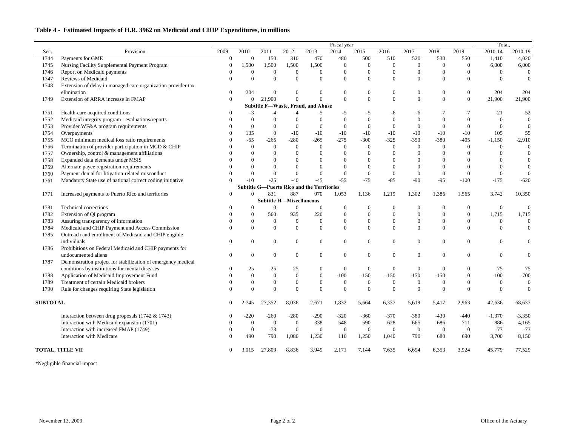## **Table 4 - Estimated Impacts of H.R. 3962 on Medicaid and CHIP Expenditures, in millions**

|      |                                                              |                |                |                                 |                  |                                                   | Fiscal year    |                  |                  |                |              |                | Total.           |                |  |
|------|--------------------------------------------------------------|----------------|----------------|---------------------------------|------------------|---------------------------------------------------|----------------|------------------|------------------|----------------|--------------|----------------|------------------|----------------|--|
| Sec. | Provision                                                    | 2009           | 2010           | 2011                            | 2012             | 2013                                              | 2014           | 2015             | 2016             | 2017           | 2018         | 2019           | 2010-14          | 2010-19        |  |
| 1744 | Payments for GME                                             | $\Omega$       | $\theta$       | 150                             | 310              | 470                                               | 480            | 500              | 510              | 520            | 530          | 550            | 1,410            | 4,020          |  |
| 1745 | Nursing Facility Supplemental Payment Program                |                | 1,500          | 1,500                           | 1,500            | 1,500                                             | $\theta$       | $\Omega$         | $\Omega$         | $\Omega$       | $\mathbf{0}$ | $\Omega$       | 6,000            | 6,000          |  |
| 1746 | Report on Medicaid payments                                  |                | $\Omega$       | $\Omega$                        | $\overline{0}$   | $\Omega$                                          | $\Omega$       | $\boldsymbol{0}$ | $\theta$         | $\theta$       | $\Omega$     | $\Omega$       | $\Omega$         |                |  |
| 1747 | Reviews of Medicaid                                          |                |                | $\Omega$                        | $\Omega$         | $\Omega$                                          | $\Omega$       | $\mathbf{0}$     | $\boldsymbol{0}$ | $\Omega$       | $\theta$     | $\Omega$       | $\Omega$         |                |  |
| 1748 | Extension of delay in managed care organization provider tax |                |                |                                 |                  |                                                   |                |                  |                  |                |              |                |                  |                |  |
|      | elimination                                                  | $\theta$       | 204            | $\Omega$                        | $\Omega$         | $\Omega$                                          | $\Omega$       | $\Omega$         | $\boldsymbol{0}$ | $\Omega$       | $\theta$     | $\theta$       | 204              | 204            |  |
| 1749 | Extension of ARRA increase in FMAP                           | $\Omega$       | $\Omega$       | 21,900                          | $\Omega$         | $\Omega$                                          | $\Omega$       | $\overline{0}$   | $\boldsymbol{0}$ | $\theta$       | $\theta$     | $\theta$       | 21,900           | 21,900         |  |
|      |                                                              |                |                |                                 |                  | <b>Subtitle F-Waste, Fraud, and Abuse</b>         |                |                  |                  |                |              |                |                  |                |  |
| 1751 | Health-care acquired conditions                              |                | $-3$           | -4                              | $-4$             | -5                                                | -5             | $-5$             | -6               | -6             |              | $-7$           | $-21$            | $-52$          |  |
| 1752 | Medicaid integrity program - evaluations/reports             |                |                |                                 | $\Omega$         |                                                   |                | $\overline{0}$   | $\theta$         |                | $\Omega$     | $\Omega$       |                  |                |  |
| 1753 | Provider WF&A program requirements                           |                |                | $\overline{0}$                  | $\boldsymbol{0}$ | $\overline{0}$                                    | $\overline{0}$ | $\boldsymbol{0}$ | $\theta$         |                | $\Omega$     | $\overline{0}$ | $\Omega$         |                |  |
| 1754 | Overpayments                                                 |                | 135            | $\mathbf{0}$                    | $-10$            | $-10$                                             | $-10$          | $-10$            | $-10$            | $-10$          | $-10$        | $-10$          | 105              | 55             |  |
| 1755 | MCO minimum medical loss ratio requirements                  |                | $-65$          | $-265$                          | $-280$           | $-265$                                            | $-275$         | $-300$           | $-325$           | $-350$         | $-380$       | $-405$         | $-1,150$         | $-2,910$       |  |
| 1756 | Termination of provider participation in MCD & CHIP          |                | $\Omega$       | $\overline{0}$                  | $\overline{0}$   | $\Omega$                                          | $\theta$       | $\Omega$         | $\Omega$         | $\Omega$       | $\left($     | $\Omega$       | $\Omega$         |                |  |
| 1757 | Ownership, control & management affliiations                 |                |                | $\overline{0}$                  | $\Omega$         | $\Omega$                                          | $\Omega$       |                  | $\Omega$         |                | 0            | $\Omega$       |                  |                |  |
| 1758 | Expanded data elements under MSIS                            |                |                | $\Omega$                        | $\Omega$         | $\Omega$                                          | $\Omega$       |                  | $\Omega$         |                | 0            |                |                  | $\overline{0}$ |  |
| 1759 | Alternate payee registration requirements                    |                |                | $\Omega$                        |                  | $\Omega$                                          | $\Omega$       |                  | $\Omega$         |                |              |                |                  |                |  |
| 1760 | Payment denial for litigation-related misconduct             |                |                | $\overline{0}$                  | $\Omega$         | $\Omega$                                          | $\Omega$       | $\Omega$         | $\theta$         |                | $\theta$     | $\Omega$       | $\Omega$         |                |  |
| 1761 | Mandatoty State use of national correct coding initiative    |                | $-10$          | $-25$                           | $-40$            | $-45$                                             | $-55$          | $-75$            | $-85$            | $-90$          | $-95$        | $-100$         | $-175$           | $-620$         |  |
|      |                                                              |                |                |                                 |                  | <b>Subtitle G-Puerto Rico and the Territories</b> |                |                  |                  |                |              |                |                  |                |  |
| 1771 | Increased payments to Puerto Rico and territories            | $\Omega$       | $\Omega$       | 831                             | 887              | 970                                               | 1,053          | 1,136            | 1,219            | 1,302          | 1,386        | 1,565          | 3,742            | 10,350         |  |
|      |                                                              |                |                | <b>Subtitle H-Miscellaneous</b> |                  |                                                   |                |                  |                  |                |              |                |                  |                |  |
| 1781 | Technical corrections                                        |                |                | $\boldsymbol{0}$                | $\boldsymbol{0}$ | $\boldsymbol{0}$                                  | $\overline{0}$ |                  | $\boldsymbol{0}$ |                | $\theta$     | $\Omega$       | $\boldsymbol{0}$ |                |  |
| 1782 | Extension of QI program                                      |                |                | 560                             | 935              | 220                                               | $\overline{0}$ |                  | $\overline{0}$   |                |              | $\theta$       | 1,715            | 1,715          |  |
| 1783 | Assuring transparency of information                         |                |                | $\overline{0}$                  | $\boldsymbol{0}$ | $\Omega$                                          | $\overline{0}$ | $\overline{0}$   | $\boldsymbol{0}$ | $\theta$       | $\Omega$     | $\theta$       | $\Omega$         |                |  |
| 1784 | Medicaid and CHIP Payment and Access Commission              |                |                | $\mathbf{0}$                    | $\mathbf{0}$     | $\Omega$                                          | $\Omega$       | $\Omega$         | $\Omega$         | $\Omega$       | $\Omega$     | $\Omega$       | $\Omega$         |                |  |
| 1785 | Outreach and enrollment of Medicaid and CHIP eligible        |                |                |                                 |                  |                                                   |                |                  |                  |                |              |                |                  |                |  |
|      | individuals                                                  | $\Omega$       |                | $\Omega$                        | $\mathbf{0}$     | $\Omega$                                          | $\overline{0}$ | $\overline{0}$   | $\Omega$         | $\Omega$       | $\theta$     | $\Omega$       |                  |                |  |
| 1786 | Prohibitions on Federal Medicaid and CHIP payments for       |                |                |                                 |                  |                                                   |                |                  |                  |                |              |                |                  |                |  |
|      | undocumented aliens                                          | $\Omega$       |                | $\boldsymbol{0}$                | $\mathbf{0}$     | $\overline{0}$                                    | $\Omega$       | $\Omega$         | $\Omega$         | $\Omega$       | $\theta$     | $\theta$       | $\Omega$         |                |  |
| 1787 | Demonstration project for stabilization of emergency medical |                |                |                                 |                  |                                                   |                |                  |                  |                |              |                |                  |                |  |
|      | conditions by institutions for mental diseases               |                | 25             | 25                              | 25               | $\Omega$                                          |                |                  |                  |                | $\Omega$     |                | 75               | 75             |  |
| 1788 | Application of Medicaid Improvement Fund                     |                |                | $\Omega$                        | $\theta$         | $\Omega$                                          | $-100$         | $-150$           | $-150$           | $-150$         | $-150$       | $\Omega$       | $-100$           | $-700$         |  |
| 1789 | Treatment of certain Medicaid brokers                        |                |                |                                 |                  |                                                   |                |                  | $\Omega$         |                | $\theta$     | $\theta$       |                  |                |  |
| 1790 | Rule for changes requiring State legislation                 | $\theta$       | $\Omega$       | $\Omega$                        | $\mathbf{0}$     | $\overline{0}$                                    | $\overline{0}$ | $\boldsymbol{0}$ | $\theta$         | $\Omega$       | $\mathbf{0}$ | $\overline{0}$ | $\boldsymbol{0}$ | $\mathbf{0}$   |  |
|      |                                                              |                |                |                                 |                  |                                                   |                |                  |                  |                |              |                |                  |                |  |
|      | <b>SUBTOTAL</b>                                              |                | 2,745          | 27,352                          | 8,036            | 2,671                                             | 1,832          | 5,664            | 6,337            | 5,619          | 5,417        | 2,963          | 42,636           | 68,637         |  |
|      | Interaction between drug proposals $(1742 \& 1743)$          | $\theta$       | $-220$         | $-260$                          | $-280$           | $-290$                                            | $-320$         | $-360$           | $-370$           | $-380$         | $-430$       | -440           | $-1,370$         | $-3,350$       |  |
|      | Interaction with Medicaid expansion (1701)                   | $\Omega$       | $\overline{0}$ | $\overline{0}$                  | $\overline{0}$   | 338                                               | 548            | 590              | 628              | 665            | 686          | 711            | 886              | 4,165          |  |
|      | Interaction with increased FMAP (1749)                       | $\Omega$       | $\overline{0}$ | $-73$                           | $\boldsymbol{0}$ | $\boldsymbol{0}$                                  | $\overline{0}$ | $\mathbf{0}$     | $\overline{0}$   | $\overline{0}$ | $\bf{0}$     | $\overline{0}$ | $-73$            | $-73$          |  |
|      | Interaction with Medicare                                    | $\Omega$       | 490            | 790                             | 1,080            | 1,230                                             | 110            | 1,250            | 1,040            | 790            | 680          | 690            | 3,700            | 8,150          |  |
|      | <b>TOTAL, TITLE VII</b>                                      | $\overline{0}$ | 3,015          | 27,809                          | 8,836            | 3,949                                             | 2,171          | 7,144            | 7,635            | 6,694          | 6,353        | 3,924          | 45,779           | 77,529         |  |

\*Negligible financial impact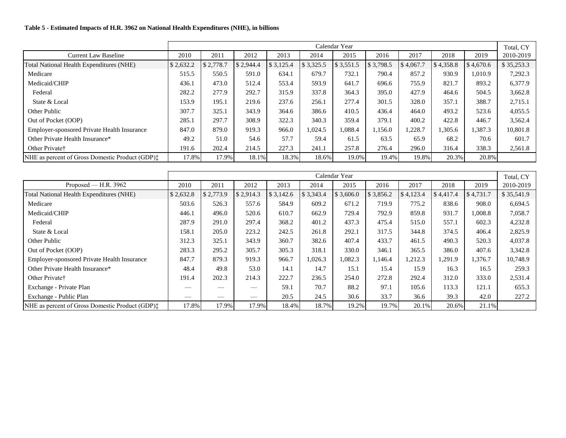#### **Table 5 - Estimated Impacts of H.R. 3962 on National Health Expenditures (NHE), in billions**

|                                                           |           |           |           |           |           | Calendar Year |           |           |           |           | Total, CY  |
|-----------------------------------------------------------|-----------|-----------|-----------|-----------|-----------|---------------|-----------|-----------|-----------|-----------|------------|
| <b>Current Law Baseline</b>                               | 2010      | 2011      | 2012      | 2013      | 2014      | 2015          | 2016      | 2017      | 2018      | 2019      | 2010-2019  |
| Total National Health Expenditures (NHE)                  | \$2,632.2 | \$2,778.7 | \$2,944.4 | \$3,125.4 | \$3,325.5 | \$3,551.5     | \$3,798.5 | \$4,067.7 | \$4,358.8 | \$4,670.6 | \$35,253.3 |
| Medicare                                                  | 515.5     | 550.5     | 591.0     | 634.1     | 679.7     | 732.1         | 790.4     | 857.2     | 930.9     | 1,010.9   | 7,292.3    |
| Medicaid/CHIP                                             | 436.1     | 473.0     | 512.4     | 553.4     | 593.9     | 641.7         | 696.6     | 755.9     | 821.7     | 893.2     | 6,377.9    |
| Federal                                                   | 282.2     | 277.9     | 292.7     | 315.9     | 337.8     | 364.3         | 395.0     | 427.9     | 464.6     | 504.5     | 3,662.8    |
| State & Local                                             | 153.9     | 195.1     | 219.6     | 237.6     | 256.1     | 277.4         | 301.5     | 328.0     | 357.1     | 388.7     | 2,715.1    |
| Other Public                                              | 307.7     | 325.1     | 343.9     | 364.6     | 386.6     | 410.5         | 436.4     | 464.0     | 493.2     | 523.6     | 4,055.5    |
| Out of Pocket (OOP)                                       | 285.1     | 297.7     | 308.9     | 322.3     | 340.3     | 359.4         | 379.1     | 400.2     | 422.8     | 446.7     | 3,562.4    |
| <b>Employer-sponsored Private Health Insurance</b>        | 847.0     | 879.0     | 919.3     | 966.0     | 1,024.5   | 1,088.4       | 1.156.0   | 1,228.7   | 1,305.6   | 1,387.3   | 10,801.8   |
| Other Private Health Insurance*                           | 49.2      | 51.0      | 54.6      | 57.7      | 59.4      | 61.5          | 63.5      | 65.9      | 68.2      | 70.6      | 601.7      |
| Other Private <sup>†</sup>                                | 191.6     | 202.4     | 214.5     | 227.3     | 241.1     | 257.8         | 276.4     | 296.0     | 316.4     | 338.3     | 2,561.8    |
| NHE as percent of Gross Domestic Product (GDP) $\ddagger$ | 17.8%     | 17.9%     | 18.1%     | 18.3%     | 18.6%     | 19.0%         | 19.4%     | 19.8%     | 20.3%     | 20.8%     |            |

|                                                           |           |                          |           |           |           | Calendar Year |           |           |           |           | Total, CY  |
|-----------------------------------------------------------|-----------|--------------------------|-----------|-----------|-----------|---------------|-----------|-----------|-----------|-----------|------------|
| Proposed — H.R. $3962$                                    | 2010      | 2011                     | 2012      | 2013      | 2014      | 2015          | 2016      | 2017      | 2018      | 2019      | 2010-2019  |
| Total National Health Expenditures (NHE)                  | \$2,632.8 | \$2,773.9                | \$2,914.3 | \$3,142.6 | \$3,343.4 | \$3,606.0     | \$3,856.2 | \$4,123.4 | \$4,417.4 | \$4,731.7 | \$35,541.9 |
| Medicare                                                  | 503.6     | 526.3                    | 557.6     | 584.9     | 609.2     | 671.2         | 719.9     | 775.2     | 838.6     | 908.0     | 6,694.5    |
| Medicaid/CHIP                                             | 446.1     | 496.0                    | 520.6     | 610.7     | 662.9     | 729.4         | 792.9     | 859.8     | 931.7     | 1,008.8   | 7,058.7    |
| Federal                                                   | 287.9     | 291.0                    | 297.4     | 368.2     | 401.2     | 437.3         | 475.4     | 515.0     | 557.1     | 602.3     | 4,232.8    |
| State & Local                                             | 158.1     | 205.0                    | 223.2     | 242.5     | 261.8     | 292.1         | 317.5     | 344.8     | 374.5     | 406.4     | 2,825.9    |
| Other Public                                              | 312.3     | 325.1                    | 343.9     | 360.7     | 382.6     | 407.4         | 433.7     | 461.5     | 490.3     | 520.3     | 4,037.8    |
| Out of Pocket (OOP)                                       | 283.3     | 295.2                    | 305.7     | 305.3     | 318.1     | 330.0         | 346.1     | 365.5     | 386.0     | 407.6     | 3,342.8    |
| Employer-sponsored Private Health Insurance               | 847.7     | 879.3                    | 919.3     | 966.7     | 1,026.3   | 1,082.3       | 1,146.4   | 1,212.3   | 1,291.9   | 1,376.7   | 10,748.9   |
| Other Private Health Insurance*                           | 48.4      | 49.8                     | 53.0      | 14.1      | 14.7      | 15.1          | 15.4      | 15.9      | 16.3      | 16.5      | 259.3      |
| Other Private†                                            | 191.4     | 202.3                    | 214.3     | 222.7     | 236.5     | 254.0         | 272.8     | 292.4     | 312.0     | 333.0     | 2,531.4    |
| Exchange - Private Plan                                   |           |                          |           | 59.1      | 70.7      | 88.2          | 97.1      | 105.6     | 113.3     | 121.1     | 655.3      |
| Exchange - Public Plan                                    |           | $\overline{\phantom{a}}$ |           | 20.5      | 24.5      | 30.6          | 33.7      | 36.6      | 39.3      | 42.0      | 227.2      |
| NHE as percent of Gross Domestic Product (GDP) $\ddagger$ | 17.8%     | 17.9%                    | 17.9%     | 18.4%     | 18.7%     | 19.2%         | 19.7%     | 20.1%     | 20.6%     | 21.1%     |            |